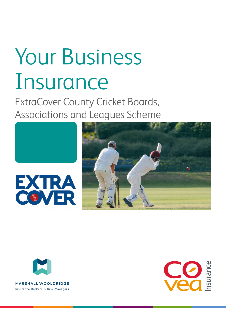# Your Business Insurance

ExtraCover County Cricket Boards, Associations and Leagues Scheme







**MARSHALL WOOLDRIDGE** Insurance Brokers & Risk Managers

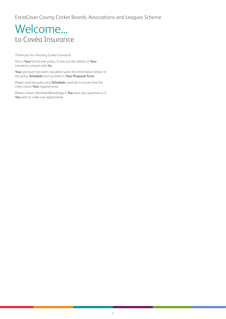# Welcome... to Covéa Insurance

Thank you for choosing Covéa Insurance.

This is **Your** ExtraCover policy. It sets out the details of **Your** insurance contract with **Us**.

**Your** premium has been calculated upon the information shown in the policy **Schedule** and recorded in **Your Proposal Form**.

Please read the policy and **Schedule** carefully to ensure that the cover meets **Your** requirements.

Please contact Marshall Wooldridge if **You** have any questions or if **You** wish to make any adjustments.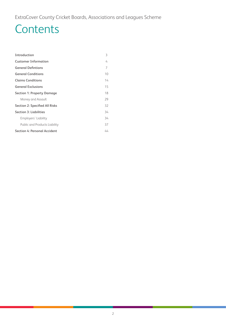# **Contents**

| Introduction                          | 3  |
|---------------------------------------|----|
| <b>Customer Information</b>           | 4  |
| <b>General Defintions</b>             | 7  |
| <b>General Conditions</b>             | 10 |
| <b>Claims Conditions</b>              | 14 |
| <b>General Exclusions</b>             | 15 |
| <b>Section 1: Property Damage</b>     | 18 |
| Money and Assault                     | 29 |
| <b>Section 2: Specified All Risks</b> | 32 |
| <b>Section 3: Liabilities</b>         | 34 |
| Employers' Liability                  | 34 |
| Public and Products Liability         | 37 |
| <b>Section 4: Personal Accident</b>   | 44 |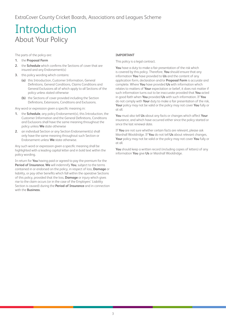# <span id="page-3-0"></span>Introduction About Your Policy

The parts of the policy are:

- **1.** the **Proposal Form**
- **2.** the **Schedule** which confirms the Sections of cover that are insured and any Endorsement(s)
- **3.** this policy wording which contains:
	- **(a)** this Introduction, Customer Information, General Definitions, General Conditions, Claims Conditions and General Exclusions all of which apply to all Sections of the policy unless stated otherwise
	- **(b)** the Sections of cover provided including the Section Definitions, Extensions, Conditions and Exclusions.

Any word or expression given a specific meaning in:

- **1.** the **Schedule**, any policy Endorsement(s), this Introduction, the Customer Information and the General Definitions, Conditions and Exclusions shall have the same meaning throughout the policy unless **We** state otherwise
- **2.** an individual Section or any Section Endorsement(s) shall only have the same meaning throughout such Section or Endorsement unless **We** state otherwise.

Any such word or expression given a specific meaning shall be highlighted with a leading capital letter and in bold text within the policy wording.

In return for **You** having paid or agreed to pay the premium for the **Period of Insurance**, **We** will indemnify **You**, subject to the terms contained in or endorsed on the policy, in respect of loss, **Damage** or liability, or pay other benefits which fall within the operative Sections of this policy, provided that the loss, **Damage** or injury which gives rise to the claim occurs (or in the case of the Employers' Liability Section is caused) during the **Period of Insurance** and in connection with the **Business**.

#### **IMPORTANT**

This policy is a legal contract.

**You** have a duty to make a fair presentation of the risk which is covered by this policy. Therefore, **You** should ensure that any information **You** have provided to **Us** and the content of any application form, declaration and/or **Proposal Form** is accurate and complete. Where **You** have provided **Us** with information which relates to matters of **Your** expectation or belief, it does not matter if such information turns out to be inaccurate provided that **You** acted in good faith when **You** provided **Us** with such information. If **You** do not comply with **Your** duty to make a fair presentation of the risk, **Your** policy may not be valid or the policy may not cover **You** fully or at all.

**You** must also tell **Us** about any facts or changes which affect **Your** insurance, and which have occurred either since the policy started or since the last renewal date.

If **You** are not sure whether certain facts are relevant, please ask Marshall Wooldridge. If **You** do not tell **Us** about relevant changes, **Your** policy may not be valid or the policy may not cover **You** fully or at all.

**You** should keep a written record (including copies of letters) of any information **You** give **Us** or Marshall Wooldridge.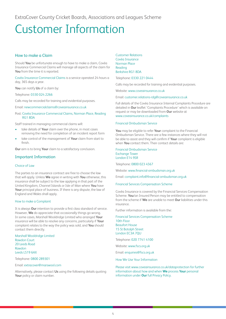<span id="page-4-0"></span>ExtraCover County Cricket Boards, Associations and Leagues Scheme

# Customer Information

#### How to make a Claim

Should **You** be unfortunate enough to have to make a claim, Covéa Insurance Commercial Claims will manage all aspects of the claim for **You** from the time it is reported.

Covéa Insurance Commercial Claims is a service operated 24 hours a day, 365 days a year.

**You** can notify **Us** of a claim by:

Telephone: 0330 024 2266

Calls may be recorded for training and evidential purposes.

Email: newcommercialclaims@coveainsurance.co.uk

Post: Covéa Insurance Commercial Claims, Norman Place, Reading RG1 8DA

Staff trained in managing commercial claims will:

- take details of **Your** claim over the phone, in most cases removing the need for completion of an incident report form
- take control of the management of **Your** claim from start to finish.

**Our** aim is to bring **Your** claim to a satisfactory conclusion.

#### Important Information

#### Choice of Law

The parties to an insurance contract are free to choose the law that will apply. Unless **We** agree in writing with **You** otherwise, this insurance shall be subject to the law applying in that part of the United Kingdom, Channel Islands or Isle of Man where **You** have **Your** principal place of business. If there is any dispute, the law of England and Wales shall apply.

#### How to make a Complaint

It is always **Our** intention to provide a first class standard of service. However, **We** do appreciate that occasionally things go wrong. In some cases, Marshall Wooldridge Limited who arranged **Your** insurance will be able to resolve any concerns, particularly if **Your** complaint relates to the way the policy was sold, and **You** should contact them directly.

Marshall Wooldridge Limited Rawdon Court 20 Leeds Road Rawdon Leeds LS19 6AX

Telephone: 0800 289301

#### Email: extracover@marswool.com

Alternatively, please contact **Us** using the following details quoting **Your** policy or claim number.

Customer Relations Covéa Insurance Norman Place Reading Berkshire RG1 8DA

#### Telephone: 0330 221 0444

Calls may be recorded for training and evidential purposes.

Website: www.coveainsurance.co.uk

#### Email: customer.relations-rdg@coveainsurance.co.uk

Full details of the Covéa Insurance Internal Complaints Procedure are detailed in **Our** leaflet 'Complaints Procedure' which is available on request or may be downloaded from **Our** website at www.coveainsurance.co.uk/complaints

#### Financial Ombudsman Service

**You** may be eligible to refer **Your** complaint to the Financial Ombudsman Service. There are a few instances where they will not be able to assist and they will confirm if **Your** complaint is eligible when **You** contact them. Their contact details are:

Financial Ombudsman Service Exchange Tower London E14 9SR

Telephone: 0800 023 4567

Website: www.financial-ombudsman.org.uk

Email: complaint.info@financial-ombudsman.org.uk

#### Financial Services Compensation Scheme

Covéa Insurance is covered by the Financial Services Compensation Scheme. **You**/an Insured Person may be entitled to compensation from the scheme if **We** are unable to meet **Our** liabilities under this insurance.

Further information is available from the:

Financial Services Compensation Scheme 10th Floor Beaufort House 15 St Botolph Street London EC3A 7QU

Telephone: 020 7741 4100

Website: www.fscs.org.uk

Email: enquiries@fscs.org.uk

#### How We Use Your Information

Please visit www.coveainsurance.co.uk/dataprotection for further information about how and when **We** process **Your** personal information under **Our** full Privacy Policy.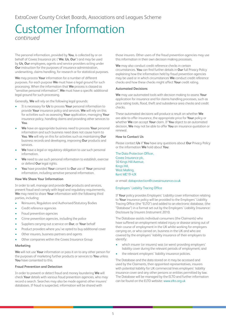### Customer Information *continued*

The personal information, provided by **You**, is collected by or on behalf of Covea Insurance plc ('**We**, **Us**, **Our**') and may be used by **Us**, **Our** employees, agents and service providers acting under **Our** instruction for the purposes of insurance administration, underwriting, claims handling, for research or for statistical purposes.

**We** may process **Your** information for a number of different purposes. For each purpose **We** must have a legal ground for such processing. When the information that **We** process is classed as "sensitive personal information", **We** must have a specific additional legal ground for such processing.

Generally, **We** will rely on the following legal grounds:

- It is necessary for **Us** to process **Your** personal information to provide **Your** insurance policy and services. **We** will rely on this for activities such as assessing **Your** application, managing **Your** insurance policy, handling claims and providing other services to **You**.
- **We** have an appropriate business need to process **Your** personal information and such business need does not cause harm to **You**. **We** will rely on this for activities such as maintaining **Our** business records and developing, improving **Our** products and services.
- **We** have a legal or regulatory obligation to use such personal information.
- **We** need to use such personal information to establish, exercise or defend **Our** legal rights.
- **You** have provided **Your** consent to **Our** use of **Your** personal information, including sensitive personal information.

#### **How We Share Your Information**

In order to sell, manage and provide **Our** products and services, prevent fraud and comply with legal and regulatory requirements, **We** may need to share **Your** information with the following third parties, including:

- Reinsurers, Regulators and Authorised/Statutory Bodies
- Credit reference agencies
- Fraud prevention agencies
- Crime prevention agencies, including the police
- Suppliers carrying out a service on **Our**, or **Your** behalf
- Product providers where you've opted to buy additional cover
- Other insurers, business partners and agents
- Other companies within the Covea Insurance Group

#### **Marketing**

**We** will not use **Your** information or pass it on to any other person for the purposes of marketing further products or services to **You** unless **You** have consented to this.

#### **Fraud Prevention and Detection**

In order to prevent or detect fraud and money laundering **We** will check **Your** details with various fraud prevention agencies, who may record a search. Searches may also be made against other insurers' databases. If fraud is suspected, information will be shared with

those insurers. Other users of the fraud prevention agencies may use this information in their own decision making processes.

**We** may also conduct credit reference checks in certain circumstances. **You** can find further details in **Our** full Privacy Policy explaining how the information held by fraud prevention agencies may be used or in which circumstances **We** conduct credit reference checks and how these checks might affect **Your** credit rating.

#### **Automated Decisions**

**We** may use automated tools with decision making to assess **Your** application for insurance and for claims handling processes, such as price rating tools, flood, theft and subsidence area checks and credit checks.

These automated decisions will produce a result on whether **We** are able to offer insurance, the appropriate price for **Your** policy or whether **We** can accept **Your** claim. If **You** object to an automated decision, **We** may not be able to offer **You** an insurance quotation or renewal.

#### **How to Contact Us**

Please contact **Us** if **You** have any questions about **Our** Privacy Policy or the information **We** hold about **You**:

The Data Protection Officer, Covea Insurance plc, 50 Kings Hill Avenue, Kings Hill, West Malling, Kent ME19 4JX

or email: dataprotection@coveainsurance.co.uk

#### Employers' Liability Tracing Office

If **Your** policy provides Employers' Liability cover information relating to **Your** insurance policy will be provided to the Employers' Liability Tracing Office (the "ELTO") and added to an electronic database, (the "Database") in a format set out by the Employers' Liability Insurance: Disclosure by Insurers Instrument 2010.

The Database assists individual consumers (the Claimants) who have suffered an employment related injury or disease arising out of their course of employment in the UK whilst working for employers carrying on, or who carried on, business in the UK and who are covered by the employers' liability insurance of their employers to identify:

- which insurer (or insurers) was (or were) providing employers' liability cover during the relevant periods of employment; and
- the relevant employers' liability insurance policies.

The Database and the data stored on it may be accessed and used by the Claimants, their appointed representatives, insurers with potential liability for UK commercial lines employers' liability insurance cover and any other persons or entities permitted by law. The Database will be managed by the ELTO and further information can be found on the ELTO website: www.elto.org.uk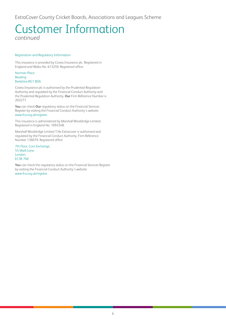# Customer Information

*continued*

#### Registration and Regulatory Information

This insurance is provided by Covea Insurance plc. Registered in England and Wales No. 613259. Registered office:

#### Norman Place Reading Berkshire RG1 8DA.

Covea Insurance plc is authorised by the Prudential Regulation Authority and regulated by the Financial Conduct Authority and the Prudential Regulation Authority. **Our** Firm Reference Number is 202277.

**You** can check **Our** regulatory status on the Financial Services Register by visiting the Financial Conduct Authority's website www.fca.org.uk/register.

This insurance is administered by Marshall Wooldridge Limited. Registered in England No. 1093348.

Marshall Wooldridge Limited T/As Extracover is authorised and regulated by the Financial Conduct Authority. Firm Reference Number 136079. Registered office:

7th Floor, Corn Exchange, 55 Mark Lane, London, EC3R 7NE

**You** can check the regulatory status on the Financial Services Register by visiting the Financial Conduct Authority's website www.fca.org.uk/register.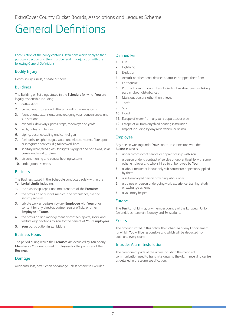<span id="page-7-0"></span>ExtraCover County Cricket Boards, Associations and Leagues Scheme

# General Defintions

Each Section of the policy contains Definitions which apply to that particular Section and they must be read in conjunction with the following General Definitions.

#### Bodily Injury

Death, injury, illness, disease or shock.

#### **Buildings**

The Building or Buildings stated in the **Schedule** for which **You** are legally responsible including:

- **1.** outbuildings
- **2.** permanent fixtures and fittings including alarm systems
- **3.** foundations, extensions, annexes, gangways, conveniences and sub-stations
- **4.** car parks, driveways, paths, steps, roadways and yards
- **5.** walls, gates and fences
- **6.** piping, ducting, cabling and control gear
- **7.** fuel tanks, telephone, gas, water and electric meters, fibre optic or integrated services, digital network lines
- **8.** sanitary ware, fixed glass, fanlights, skylights and partitions, solar panels and wind turbines
- **9.** air conditioning and central heating systems
- **10.** underground services

#### **Business**

The Business stated in the **Schedule** conducted solely within the **Territorial Limits** including:

- **1.** the ownership, repair and maintenance of the **Premises**
- **2.** the provision of first aid, medical and ambulance, fire and security services
- **3.** private work undertaken by any **Employee** with **Your** prior consent for any director, partner, senior official or other **Employee** of **Yours**
- **4.** the provision and management of canteen, sports, social and welfare organisations by **You** for the benefit of **Your Employees**
- **5. Your** participation in exhibitions.

#### Business Hours

The period during which the **Premises** are occupied by **You** or any **Member** or **Your** authorised **Employees** for the purposes of the **Business**.

#### Damage

Accidental loss, destruction or damage unless otherwise excluded.

#### Defined Peril

- **1.** Fire
- **2.** Lightning
- **3.** Explosion
- **4.** Aircraft or other aerial devices or articles dropped therefrom
- **5.** Earthquake
- **6.** Riot, civil commotion, strikers, locked-out workers, persons taking part in labour disturbances
- **7.** Malicious persons other than thieves
- **8.** Theft
- **9.** Storm
- **10.** Flood
- **11.** Escape of water from any tank apparatus or pipe
- **12.** Escape of oil from any fixed heating installation
- **13.** Impact including by any road vehicle or animal.

#### Employee

Any person working under **Your** control in connection with the **Business** who is:

- **1.** under a contract of service or apprenticeship with **You**
- **2.** a person under a contract of service or apprenticeship with some other employer and who is hired to or borrowed by **You**
- **3.** a labour master or labour only sub-contractor or person supplied by them
- **4.** a self-employed person providing labour only
- **5.** a trainee or person undergoing work experience, training, study or exchange scheme
- **6.** a voluntary helper.

#### Europe

The **Territorial Limits**, any member country of the European Union, Iceland, Liechtenstein, Norway and Switzerland.

#### Excess

The amount stated in this policy, the **Schedule** or any Endorsement for which **You** will be responsible and which will be deducted from each and every claim.

#### Intruder Alarm Installation

The component parts of the alarm including the means of communication used to transmit signals to the alarm receiving centre as detailed in the alarm specification.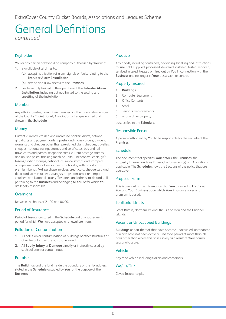### General Defintions *continued*

#### Keyholder

**You** or any person or keyholding company authorised by **You** who:

- **1.** is available at all times to:
	- **(a)** accept notification of alarm signals or faults relating to the **Intruder Alarm Installation**
	- **(b)** attend and allow access to the **Premises**
- **2.** has been fully trained in the operation of the **Intruder Alarm Installation**, including but not limited to the setting and unsetting of the installation.

#### Member

Any official, trustee, committee member or other bona fide member of the County Cricket Board, Association or League named and shown in the **Schedule**.

#### **Money**

Current currency, crossed and uncrossed bankers drafts, national giro drafts and payment orders, postal and money orders, dividend warrants and cheques other than pre-signed blank cheques, travellers cheques, national savings stamps and certificates, bus and rail travel cards and passes, telephone cards, current postage stamps and unused postal franking machine units, luncheon vouchers, gift tokens, trading stamps, national insurance stamps and stamped or impressed national insurance cards, holiday with pay stamps, premium bonds, VAT purchase invoices, credit card, cheque card and debit card sales vouchers, savings stamps, consumer redemption vouchers and National Lottery 'Instants' and other scratch cards, all pertaining to the **Business** and belonging to **You** or for which **You** are legally responsible.

#### **Overnight**

Between the hours of 21.00 and 06.00.

#### Period of Insurance

Period of Insurance stated in the **Schedule** and any subsequent period for which **We** have accepted a renewal premium.

#### Pollution or Contamination

- **1.** All pollution or contamination of buildings or other structures or of water or land or the atmosphere and
- **2.** All **Bodily Injury** or **Damage** directly or indirectly caused by such pollution or contamination

#### Premises

The **Buildings** and the land inside the boundary of the risk address stated in the **Schedule** occupied by **You** for the purpose of the **Business**.

#### **Products**

Any goods, including containers, packaging, labelling and instructions for use, sold, supplied, processed, delivered, installed, tested, repaired, serviced, altered, treated or hired out by **You** in connection with the **Business** and no longer in **Your** possession or control.

#### Property Insured

- **1. Buildings**
- **2.** Computer Equipment
- **3.** Office Contents
- **4.** Stock
- **5.** Tenants Improvements
- **6.** or any other property

as specified in the **Schedule**.

#### Responsible Person

A person authorised by **You** to be responsible for the security of the **Premises**.

#### **Schedule**

The document that specifies **Your** details, the **Premises**, the **Property Insured** and any **Excess**, Endorsement(s) and Conditions applicable. The **Schedule** shows the Sections of the policy that are operative.

#### Proposal Form

This is a record of the information that **You** provided to **Us** about **You** and **Your Business** upon which **Your** insurance cover and premium is based.

#### Territorial Limits

Great Britain, Northern Ireland, the Isle of Man and the Channel Islands.

#### Vacant or Unoccupied Buildings

**Buildings** or part thereof that have become unoccupied, untenanted or which have not been actively used for a period of more than 30 days other than where this arises solely as a result of **Your** normal seasonal closure.

#### Vehicle

Any road vehicle including trailers and containers.

#### We/Us/Our

Covea Insurance plc.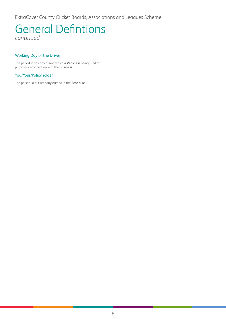ExtraCover County Cricket Boards, Associations and Leagues Scheme

### General Defintions *continued*

#### Working Day of the Driver

The period in any day during which a **Vehicle** is being used for purposes in connection with the **Business**.

#### You/Your/Policyholder

The person(s) or Company named in the **Schedule**.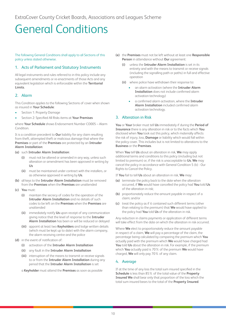# <span id="page-10-0"></span>General Conditions

The following General Conditions shall apply to all Sections of this policy unless stated otherwise.

#### 1. Acts of Parliament and Statutory Instruments

All legal instruments and rules referred to in this policy include any subsequent amendments or re-enactments of those Acts and any equivalent legislation which is enforceable within the **Territorial Limits**.

#### 2. Alarm

This Condition applies to the following Sections of cover when shown as insured in **Your Schedule**:

- Section 1: Property Damage
- Section 2: Specified All Risks items at **Your Premises**

where **Your Schedule** shows Endorsement Number CO005 – Alarm Condition.

It is a condition precedent to **Our** liability for any claim resulting from theft, attempted theft or malicious damage that where the **Premises** or part of the **Premises** are protected by an **Intruder Alarm Installation**:

#### **(a)** such **Intruder Alarm Installation**:

- **(i)** must not be altered or amended in any way, unless such alteration or amendment has been approved in writing by **Us**
- **(ii)** must be maintained under contract with the installers, or as otherwise approved in writing by **Us**.
- **(b)** all keys to the **Intruder Alarm Installation** must be removed from the **Premises** when the **Premises** are unattended
- **(c) You** must:
	- **(i)** maintain the secrecy of codes for the operation of the **Intruder Alarm Installation** and no details of such codes to be left on the **Premises** when the **Premises** are unattended
	- **(ii)** immediately notify **Us** upon receipt of any communication giving notice that the level of response to the **Intruder Alarm Installation** has been or will be reduced or delayed
	- **(iii)** appoint at least two **Keyholders** and lodge written details (which must be kept up to date) with the alarm company, the alarm receiving centre and the police
- **(d)** in the event of notification of:
	- **(i)** activation of the **Intruder Alarm Installation**
	- **(ii)** any fault in the **Intruder Alarm Installation**
	- **(iii)** interruption of the means to transmit or receive signals to or from the **Intruder Alarm Installation** during any period that the **Intruder Alarm Installation** is set

a **Keyholder** must attend the **Premises** as soon as possible

- **(e)** the **Premises** must not be left without at least one **Responsible Person** in attendance without **Our** agreement:
	- **(i)** unless the **Intruder Alarm Installation** is set in its entirety and with the means to transmit or receive signals (including the signalling path or paths) in full and effective operation
	- **(ii)** where police have withdrawn their response to:
		- an alarm activation (where the **Intruder Alarm Installation** does not include confirmed alarm activation technology)
		- a confirmed alarm activation, where the **Intruder Alarm Installation** included confirmed alarm activation technology.

#### 3. Alteration in Risk

**You** or **Your** broker must tell **Us** immediately if during the **Period of Insurance** there is any alteration in risk or to the facts which **You** disclosed when **You** took out this policy, which materially affects the risk of injury, loss, **Damage** or liability which would fall within the policy cover. This includes but is not limited to alterations to the **Business** or the **Premises**.

When **You** tell **Us** about an alteration in risk, **We** may apply additional terms and conditions to this policy (including but not limited to premium) or, if the risk is unacceptable to **Us**, **We** may cancel the policy in accordance with General Condition 5 (b) - Our Rights to Cancel the Policy.

If **You** fail to tell **Us** about an alteration in risk, **We** may:

- **(a)** terminate the policy back to the date when the alteration occurred, if **We** would have cancelled the policy had **You** told **Us** of the alteration in risk;
- **(b)** proportionately reduce the amount payable in respect of a claim; and/or
- **(c)** treat the policy as if it contained such different terms (other than relating to the premium) that **We** would have applied to the policy had **You** told **Us** of the alteration in risk.

Any reduction in claims payments or application of different terms will take effect from the date on which the alteration in risk occurred.

Where **We** elect to proportionately reduce the amount payable in respect of a claim, **We** will pay a percentage of the claim, the percentage being calculated by comparing the premium which **You** actually paid with the premium which **We** would have charged had **You** told **Us** about the alteration in risk. For example, if the premium which **You** actually paid is 70% of the premium **We** would have charged, **We** will only pay 70% of any claim.

#### 4. Average

If at the time of any loss the total sum insured specified in the **Schedule** is less than 85% of the total value of the **Property Insured We** shall bear only that proportion of the loss which the total sum insured bears to the total of the **Property Insured**.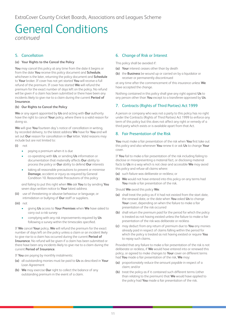### General Conditions *continued*

#### 5. Cancellation

#### **(a) Your Rights to the Cancel the Policy**

**You** may cancel this policy at any time from the date it begins or from the date **You** receive this policy document and **Schedule**, whichever is the later, returning the policy document and **Schedule** to **Your** broker. If cover has not yet started **You** will receive a full refund of the premium. If cover has started **We** will refund the premium for the exact number of days left on the policy. No refund will be given if a claim has been submitted or there have been any incidents likely to give rise to a claim during the current **Period of Insurance**.

#### **(b) Our Rights to Cancel the Policy**

**We** or any agent appointed by **Us** and acting with **Our** authority have the right to cancel **Your** policy, where there is a valid reason for doing so.

**We** will give **You** fourteen day's notice of cancellation in writing, by recorded delivery, to the latest address **We** have for **You** and will set out **Our** reason for cancellation in **Our** letter. Valid reasons may include but are not limited to:

- **(i)** not
	- paying a premium when it is due
	- co-operating with **Us**, or sending **Us** information or documentation that materially affects **Our** ability to process the policy or **Our** ability to defend **Our** interests
	- taking all reasonable precautions to prevent or minimise **Damage**, accident or injury as required by General Condition 10. Reasonable Precautions of this policy

and failing to put this right when **We** ask **You** to by sending **You** seven days written notice to **Your** latest address

- **(ii)** use of threatening or abusive behaviour or language, or intimidation or bullying of **Our** staff or suppliers.
- **(iii)** not
	- giving **Us** access to **Your Premises** when **We** have asked to carry out a risk survey
	- complying with any risk improvements required by **Us** following a survey within the timescales specified.

If **We** cancel **Your** policy, **We** will refund the premium for the exact number of days left on the policy unless a claim or an incident likely to give rise to a claim has occurred during the current **Period of Insurance**. No refund will be given if a claim has been submitted or there have been any incidents likely to give rise to a claim during the current **Period of Insurance**.

If **You** are paying by monthly instalments:

- **(a)** all outstanding monies must be paid to **Us** as described in **Your** Loan Agreement
- **(b) We** may exercise **Our** right to collect the balance of any outstanding premium in the event of a claim.

#### 6. Change of Risk or Interest

This policy shall be avoided if:

- **(a) Your** interest ceases other than by death
- **(b)** the **Business** be wound up or carried on by a liquidator or receiver or permanently discontinued

at any time after the commencement of this insurance unless **We** have accepted the change.

Nothing contained in this policy shall give any right against **Us** to any person other than **You** except to a transferee approved by **Us**.

#### 7. Contracts (Rights of Third Parties) Act 1999

A person or company who was not a party to this policy has no right under the Contracts (Rights of Third Parties) Act 1999 to enforce any term of this policy but this does not affect any right or remedy of a third party which exists or is available apart from that Act.

#### 8. Fair Presentation of the Risk

**You** must make a fair presentation of the risk when **You** first take out this policy and also whenever **You** renew it or ask **Us** to change **Your** cover.

If **You** fail to make a fair presentation of the risk including failing to disclose or misrepresenting a material fact, or disclosing material facts to **Us** in a way which is not clear and accessible **We** may avoid this policy and refuse all claims where:

- **(a)** such failure was deliberate or reckless; or
- **(b) We** would not have entered into this policy on any terms had **You** made a fair presentation of the risk.

Should **We** avoid this policy **We**:

- **(a)** shall treat the policy as if it had not existed from the start date, the renewal date, or the date when **You** asked **Us** to change **Your** cover, depending on when the failure to make a fair presentation of the risk occurred
- **(b)** shall return the premium paid for the period for which the policy is treated as not having existed unless the failure to make a fair presentation of the risk was deliberate or reckless
- **(c)** may deduct from any return of premium due to **You** any monies already paid in respect of claims falling within the period for which the policy is treated as not having existed or require **You** to repay such claims.

Provided that any failure to make a fair presentation of the risk is not deliberate or reckless, if **We** would have entered into or renewed this policy, or agreed to make changes to **Your** cover on different terms had **You** made a fair presentation of the risk, **We** may:

- **(a)** proportionately reduce the amount payable in respect of a claim; and/or
- **(b)** treat the policy as if it contained such different terms (other than relating to the premium) that **We** would have applied to the policy had **You** made a fair presentation of the risk.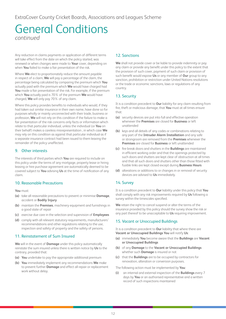# General Conditions *continued*

Any reduction in claims payments or application of different terms will take effect from the date on which the policy started, was renewed or when changes were made to **Your** cover, depending on when **You** failed to make a fair presentation of the risk.

Where **We** elect to proportionately reduce the amount payable in respect of a claim, **We** will pay a percentage of the claim, the percentage being calculated by comparing the premium which **You** actually paid with the premium which **We** would have charged had **You** made a fair presentation of the risk. For example, if the premium which **You** actually paid is 70% of the premium **We** would have charged, **We** will only pay 70% of any claim.

Where this policy provides benefits to individuals who would, if they had taken out similar insurance in their own name, have done so for purposes wholly or mainly unconnected with their trade, business or profession, **We** will not rely on this condition if the failure to make a fair presentation of the risk concerns only facts or information which relate to that particular individual, unless the individual (or **You** on their behalf) makes a careless misrepresentation , in which case **We** may rely on this condition as against that particular individual as if a separate insurance contract had been issued to them leaving the remainder of the policy unaffected.

#### 9. Other interests

The interests of third parties which **You** are required to include on this policy under the terms of any mortgage, property lease or hiring leasing or hire purchase agreement are automatically deemed to be covered subject to **You** advising **Us** at the time of notification of any claim.

#### 10. Reasonable Precautions

**You** must:

- **(a)** take all reasonable precautions to prevent or minimise **Damage**, accident or **Bodily Injury**
- **(b)** maintain the **Premises**, machinery equipment and furnishings in a good state of repair
- **(c)** exercise due care in the selection and supervision of **Employees**
- **(d)** comply with all relevant statutory requirements, manufacturers' recommendations and other regulations relating to the use, inspection and safety of property and the safety of persons.

#### 11. Reinstatement of Sum Insured

**We** will in the event of **Damage** under this policy automatically reinstate the sum insured unless there is written notice by **Us** to the contrary, provided that:

- **(a) You** undertake to pay the appropriate additional premium
- **(b) You** immediately implement any recommendations **We** make to prevent further **Damage** and effect all repair or replacement work without delay.

#### 12. Sanctions

**We** shall not provide cover or be liable to provide indemnity or pay any claim or provide any benefit under this policy to the extent that the provision of such cover, payment of such claim or provision of such benefit would expose **Us** or any member of **Our** group to any sanction, prohibition or restriction under United Nations resolutions or the trade or economic sanctions, laws or regulations of any country.

#### 13. Security

It is a condition precedent to **Our** liability for any claim resulting from fire, theft or malicious damage, that **You** must at all times ensure that:

- **(a)** security devices are put into full and effective operation whenever the **Premises** are closed for **Business** or left unattended
- **(b)** keys and all details of any codes or combinations relating to any part of the **Intruder Alarm Installation** and any safe or strongroom are removed from the **Premises** whenever the **Premises** are closed for **Business** or left unattended
- **(c)** fire break doors and shutters in the **Buildings** are maintained in efficient working order and that the openings protected by such doors and shutters are kept clear of obstruction at all times and that all such doors and shutters other than those fitted with fusible links are kept closed except during **Business Hours**
- **(d)** alterations or additions to or changes in or removal of security devices are advised to **Us** immediately.

#### 14. Survey

It is a condition precedent to **Our** liability under this policy that **You** shall comply with any risk improvements required by **Us** following a survey within the timescales specified.

**We** retain the right to cancel suspend or alter the terms of the insurance provided by this policy should the survey show the risk or any part thereof to be unacceptable to **Us** requiring improvement.

#### 15. Vacant or Unoccupied Buildings

It is a condition precedent to **Our** liability that where there are **Vacant or Unoccupied Buildings You** will notify **Us**:

- **(a)** immediately **You** become aware that the **Buildings** are **Vacant or Unoccupied Buildings**
- **(b)** of any **Damage** to the **Vacant or Unoccupied Buildings** whether such **Damage** is insured or not
- **(c)** that the **Buildings** are to be occupied by contractors for renovation, alteration or conversion purposes.

The following action must be implemented by **You**:

**(i)** an internal and external inspection of the **Buildings** every 7 days by **You** or an authorised representative and a written record of such inspections maintained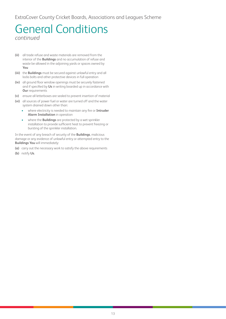ExtraCover County Cricket Boards, Associations and Leagues Scheme

### General Conditions *continued*

- **(ii)** all trade refuse and waste materials are removed from the interior of the **Buildings** and no accumulation of refuse and waste be allowed in the adjoining yards or spaces owned by **You**
- **(iii)** the **Buildings** must be secured against unlawful entry and all locks bolts and other protective devices in full operation
- **(iv)** all ground floor window openings must be securely fastened and if specified by **Us** in writing boarded up in accordance with **Our** requirements
- **(v)** ensure all letterboxes are sealed to prevent insertion of material
- **(vi)** all sources of power fuel or water are turned off and the water system drained down other than:
	- where electricity is needed to maintain any fire or **Intruder Alarm Installation** in operation
	- where the **Buildings** are protected by a wet sprinkler installation to provide sufficient heat to prevent freezing or bursting of the sprinkler installation.

In the event of any breach of security of the **Buildings**, malicious damage or any evidence of unlawful entry or attempted entry to the **Buildings You** will immediately:

- **(a)** carry out the necessary work to satisfy the above requirements
- **(b)** notify **Us**.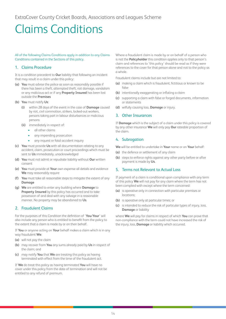# <span id="page-14-0"></span>Claims Conditions

#### All of the following Claims Conditions apply in addition to any Claims Conditions contained in the Sections of this policy.

#### 1. Claims Procedure

It is a condition precedent to **Our** liability that following an incident that may result in a claim under this policy:

- **(a) You** must advise the police as soon as reasonably possible if there has been a theft, attempted theft, riot damage, vandalism or any malicious act or if any **Property Insured** has been lost outside the **Premises**
- **(b) You** must notify **Us**:
	- **(i)** within 28 days of the event in the case of **Damage** caused by riot, civil commotion, strikers, locked-out workers, persons taking part in labour disturbances or malicious persons
	- **(ii)** immediately in respect of:
		- all other claims
		- any impending prosecution
		- any inquest or fatal accident inquiry
- **(c) You** must provide **Us** with all documentation relating to any accident, claim, prosecution or court proceedings which must be sent to **Us** immediately, unacknowledged
- **(d) You** must not admit or repudiate liability without **Our** written consent
- **(e) You** must provide at **Your** own expense all details and evidence **We** may reasonably require
- **(f) You** must take all reasonable steps to mitigate the extent of any **Damage**
- **(g) We** are entitled to enter any building where **Damage** to **Property Insured** by this policy has occurred and to take possession of and deal with any salvage in a reasonable manner. No property may be abandoned to **Us**.

#### 2. Fraudulent Claims

For the purposes of this Condition the definition of '**You**/**Your**' will also include any person who is entitled to benefit from the policy to the extent that a claim is made by or on their behalf.

If **You** or anyone acting on **Your** behalf makes a claim which is in any way fraudulent **We**:

- **(a)** will not pay the claim
- **(b)** may recover from **You** any sums already paid by **Us** in respect of the claim; and
- **(c)** may notify **You** that **We** are treating this policy as having terminated with effect from the time of the fraudulent act.

If **We** do treat this policy as having terminated **You** will have no cover under this policy from the date of termination and will not be entitled to any refund of premium.

Where a fraudulent claim is made by or on behalf of a person who is not the **Policyholder** this condition applies only to that person's claim and references to 'this policy' should be read as if they were references to the cover for that person alone and not to the policy as a whole.

Fraudulent claims include but are not limited to:

- **(a)** making a claim which is fraudulent, fictitious or known to be false
- **(b)** intentionally exaggerating or inflating a claim
- **(c)** supporting a claim with false or forged documents, information or statements
- **(d)** wilfully causing loss, **Damage** or injury.

#### 3. Other Insurances

If **Damage** which is the subject of a claim under this policy is covered by any other insurance **We** will only pay **Our** rateable proportion of the claim.

#### 4. Subrogation

**We** will be entitled to undertake in **Your** name or on **Your** behalf:

- **(a)** the defence or settlement of any claim
- **(b)** steps to enforce rights against any other party before or after payment is made by **Us**.

#### 5. Terms not Relevant to Actual Loss

If payment of a claim is conditional upon compliance with any term of this policy **We** will not pay for any claim where the term has not been complied with except where the term concerned:

- **(a)** is operative only in connection with particular premises or locations;
- **(b)** is operative only at particular times; or
- **(c)** is intended to reduce the risk of particular types of injury, loss, **Damage** or liability

where **We** will pay for claims in respect of which **You** can prove that non-compliance with the term could not have increased the risk of the injury, loss, **Damage** or liability which occurred.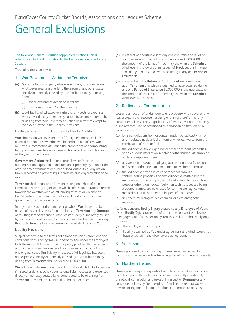# <span id="page-15-0"></span>General Exclusions

#### The following General Exclusions apply to all Sections unless otherwise stated and in addition to the Exclusions contained in each **Section**

This policy does not cover:

#### 1. War Government Action and Terrorism

- **(a) Damage** to any property whatsoever or any loss or expense whatsoever resulting or arising therefrom or any other costs directly or indirectly caused by or contributed to by or arising from:
	- **(i)** War Government Action or Terrorism
	- **(ii)** civil commotion in Northern Ireland.
- **(b)** Legal liability of whatsoever nature or any costs or expenses whatsoever directly or indirectly caused by or contributed to by or arising from War Government Action or Terrorism except to the extent stated in the Liability Provisions.

For the purpose of this Exclusion and its Liability Provisions:

**War** shall mean war invasion acts of foreign enemies hostilities or warlike operations (whether war be declared or not) civil war mutiny civil commotion assuming the proportions of or amounting to popular rising military rising insurrection rebellion revolution or military or usurped power.

**Government Action** shall mean martial law confiscation nationalisation requisition or destruction of property by or under the order of any government or public or local authority or any action taken in controlling preventing suppressing or in any way relating to war.

**Terrorism** shall mean acts of persons acting on behalf of or in connection with any organisation which carries out activities directed towards the overthrowing or influencing by force or violence of Her Majesty's government in the United Kingdom or any other government de jure or de facto.

In any action suit or other proceedings where **We** allege that by reason of this exclusion as far as it relates to **Terrorism** any **Damage** or resulting loss or expense or other costs directly or indirectly caused by such event is not covered by this insurance the burden of proving that such **Damage** loss or expense is covered shall be upon **You**.

#### **Liability Provisions**

Subject otherwise to the terms definitions exclusions provisions and conditions of this policy **We** will indemnify **You** under the Employers' Liability Section if insured under this policy provided that in respect of any one occurrence or series of occurrences arising out of any one original cause **Our** liability in respect of all legal liability, costs and expenses directly or indirectly caused by or contributed to by or arising from **Terrorism** shall not exceed £5,000,000.

**We** will indemnify **You** under the Public and Products Liability Section if insured under this policy against legal liability, costs and expenses directly or indirectly caused by or contributed to by or arising from **Terrorism** provided that **Our** liability shall not exceed:

- **(a)** in respect of or arising out of any one occurrence or series of occurrences arising out of one original cause £2,000,000 or the amount of the Limit of Indemnity shown in the **Schedule** whichever is the lower but in respect of **Products** this limitation shall apply to all insured events occurring in any one **Period of Insurance**
- **(b)** in respect of all **Pollution or Contamination** consequent upon **Terrorism** and which is deemed to have occurred during any one **Period of Insurance** £2,000,000 in the aggregate or the amount of the Limit of Indemnity shown in the **Schedule** whichever is the lower.

#### 2. Radioactive Contamination

Loss or destruction of or damage to any property whatsoever or any loss or expense whatsoever resulting or arising therefrom or any consequential loss or any legal liability of whatsoever nature directly or indirectly caused or occasioned by or happening through or in consequence of:

- **(a)** ionising radiations from or contamination by radioactivity from any irradiated nuclear fuel or from any nuclear waste from the combustion of nuclear fuel
- **(b)** the radioactive, toxic, explosive or other hazardous properties of any nuclear installation, reactor or other nuclear assembly or nuclear component thereof
- **(c)** any weapon or device employing atomic or nuclear fission and or fusion or other like reaction or radioactive force or matter
- **(d)** the radioactive toxic explosive or other hazardous or contaminating properties of any radioactive matter, but the exclusion in this paragraph **(d)** shall not extend to radioactive isotopes other than nuclear fuel when such isotopes are being prepared, carried, stored or used for commercial, agricultural, medical, scientific or other similar peaceful purposes
- **(e)** any chemical biological bio-chemical or electromagnetic weapon.

As far as concerns **Bodily Injury** caused to any **Employee** of **Yours** if such **Bodily Injury** arises out of and in the course of employment or engagement of such person by **You** this exclusion shall apply only in respect of:

- **(i)** the liability of any principal
- **(ii)** liability assumed by **You** under agreement and which would not have attached in the absence of such agreement.

#### 3. Sonic Bangs

**Damage** caused by or consisting of pressure waves caused by aircraft or other aerial devices travelling at sonic or supersonic speeds.

#### 4. Northern Ireland

**Damage** and any consequential loss in Northern Ireland occasioned by or happening through or in consequence directly or indirectly of riot, civil commotion and (except in respect of **Damage** or any consequential loss by fire or explosion) strikers, locked-out workers, persons taking part in labour disturbances or malicious persons.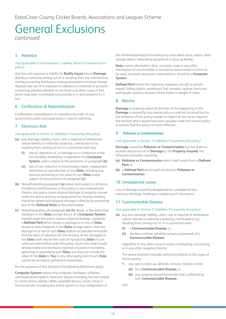# General Exclusions

*continued*

#### 5. Asbestos

#### (not applicable to the Employers' Liability Section if insured by this policy)

Any loss cost expense or liability for **Bodily Injury** loss or **Damage** directly or indirectly arising out of or resulting from the manufacture mining processing distribution testing remediation removal storage disposal sale use of or exposure to asbestos or materials or products containing asbestos whether or not there is another cause of loss which may have contributed concurrently or in any sequence to a loss.

#### 6. Confiscation & Nationalisation

Confiscation nationalisation or requisition by order of any government public municipal local or customs authority.

#### 7. Electronic Risk

#### (not applicable to Section 3: Liabilities if insured by this policy)

- **(a)** loss, damage, liability, claim, cost or expense of whatsoever nature directly or indirectly caused by, contributed to by, resulting from, arising out of or in connection with any:
	- **(i)** loss of, alteration of, or damage to or a reduction in the functionality, availability or operation of a **Computer System**, unless subject to the provisions of paragraph **(b)**
	- **(ii)** loss of use, reduction in functionality, repair, replacement, restoration or reproduction of any **Data**, including any amount pertaining to the value of such **Data** unless subject to the provisions of paragraph **(c)**
- **(b)** Notwithstanding paragraph **(a)** above, and subject to all terms, Conditions and Exclusions of this policy or any endorsement thereto, this policy covers physical damage to property insured under this policy and any consequential loss directly resulting therefrom where such physical damage is directly occasioned by any of the **Defined Perils** as described below.
- **(c)** Notwithstanding sub paragraph **(a) (ii)** above, in the event that hardware or the **Data** storage device of a **Computer System** insured under this policy sustains physical damage caused by a **Defined Peril** which results in damage to or loss of **Data** stored on that hardware or the **Data** storage device, then the damage to or loss of such **Data** shall be recoverable hereunder and the basis of valuation for the recovery of the damaged or lost **Data** shall only be the costs of reproducing **Data** if such costs are indemnified under this policy. Such costs shall include all reasonable and necessary expenses incurred in recreating, gathering or assembling such **Data**, but does not include the value of the **Data** to **You** or any other party even if such **Data** cannot be recreated, gathered or assembled.

For the purposes of this Exclusion the following Definitions apply:

**Computer System** means any computer, hardware, software, communications system, electronic device (including, but not limited to, smart phone, laptop, tablet, wearable device), server, cloud or microcontroller including any similar system or any configuration of

the aforementioned and including any associated input, output, data storage device, networking equipment or back up facility.

**Data** means information, facts, concepts, code or any other information of any kind that is recorded or transmitted in a form to be used, accessed, processed, transmitted or stored by a **Computer System**.

**Defined Peril** means fire, lightning, explosion, aircraft or vehicle impact, falling objects, windstorm, hail, tornado, cyclone, hurricane, earthquake, volcano, tsunami, flood, freeze or weight of snow.

#### 8. Marine

**Damage** to property which at the time of the happening of the **Damage** is insured by any marine policy or policies (or would but for the existence of this policy) except in respect of any excess beyond the amount which would have been payable under the marine policy or policies had this policy not been effected.

#### 9. **Pollution or Contamination**

#### (not applicable to Section 3: Liabilities if insured by this policy)

**Damage** caused by **Pollution or Contamination** but this shall not exclude destruction of or **Damage** to the **Property Insured**, not otherwise excluded, caused by:

- **(a) Pollution or Contamination** which itself results from a **Defined Peril**; or
- **(b)** a **Defined Peril** which itself results from **Pollution or Contamination**.

#### 10. Unexplained Losses

Loss or damage caused by disappearance, unexplained loss, inventory shortage, misfiling or misplacing of information.

#### 11. Communicable Disease

#### (not applicable to Section 3: Liabilities if insured by this policy)

- **(a)** any loss, damage, liability, claim, cost or expense of whatsoever nature, directly or indirectly caused by, contributed to by, resulting from, arising out of, or in connection with:
	- **(i)** a **Communicable Disease**; or
	- **(ii)** the fear or threat (whether actual or perceived) of a **Communicable Disease**

regardless of any other cause or event contributing concurrently or in any other sequence thereto.

The above exclusion includes, without limitation to the scope of the foregoing:

- **1.** any cost to clean up, detoxify, remove, monitor or test:
	- **(a)** for a **Communicable Disease**; or
	- **(b)** any property insured hereunder that is affected by such **Communicable Disease**,

and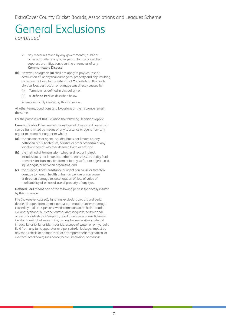### General Exclusions *continued*

- **2.** any measures taken by any governmental, public or other authority or any other person for the prevention, suppression, mitigation, cleaning or removal of any **Communicable Disease**.
- **(b)** However, paragraph **(a)** shall not apply to physical loss or destruction of, or physical damage to, property and any resulting consequential loss, to the extent that **You** establish that such physical loss, destruction or damage was directly caused by:
	- **(i)** Terrorism (as defined in this policy), or
	- **(ii)** a **Defined Peril** as described below

where specifically insured by this insurance.

All other terms, Conditions and Exclusions of the insurance remain the same.

For the purposes of this Exclusion the following Definitions apply:

**Communicable Disease** means any type of disease or illness which can be transmitted by means of any substance or agent from any organism to another organism where:

- **(a)** the substance or agent includes, but is not limited to, any pathogen, virus, bacterium, parasite or other organism or any variation thereof, whether deemed living or not, and
- **(b)** the method of transmission, whether direct or indirect, includes but is not limited to, airborne transmission, bodily fluid transmission, transmission from or to any surface or object, solid, liquid or gas, or between organisms, and
- **(c)** the disease, illness, substance or agent can cause or threaten damage to human health or human welfare or can cause or threaten damage to, deterioration of, loss of value of, marketability of or loss of use of property of any type.

**Defined Peril** means one of the following perils if specifically insured by this insurance:

Fire (howsoever caused); lightning; explosion; aircraft and aerial devices dropped from them; riot; civil commotion; strikers; damage caused by malicious persons; windstorm; rainstorm; hail; tornado; cyclone; typhoon; hurricane; earthquake; seaquake; seismic and/ or volcanic disturbance/eruption; flood (howsoever caused); freeze; ice storm; weight of snow or ice; avalanche; meteorite or asteroid impact; landslip; landslide; mudslide; escape of water, oil or hydraulic fluid from any tank, apparatus or pipe; sprinkler leakage; impact by any road vehicle or animal; theft or attempted theft; mechanical or electrical breakdown; subsidence; heave; implosion; or collapse.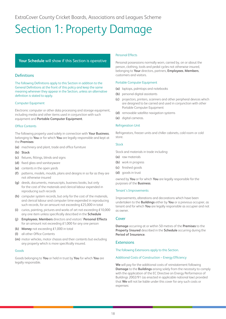# <span id="page-18-0"></span>Section 1: Property Damage

#### **Your Schedule** will show if this Section is operative

#### **Definitions**

The following Definitions apply to this Section in addition to the General Definitions at the front of this policy and keep the same meaning wherever they appear in the Section, unless an alternative definition is stated to apply.

#### Computer Equipment

Electronic computer or other data processing and storage equipment, including media and other items used in conjunction with such equipment and **Portable Computer Equipment**.

#### Office Contents

The following property used solely in connection with **Your Business**, belonging to **You** or for which **You** are legally responsible and kept at the **Premises**:

- **(a)** machinery and plant, trade and office furniture
- **(b) Stock**
- **(c)** fixtures, fittings, blinds and signs
- **(d)** fixed glass and sanitaryware
- **(e)** contents in the open yards
- **(f)** patterns, models, moulds, plans and designs in so far as they are not otherwise insured
- **(g)** deeds, documents, manuscripts, business books, but only for the cost of the materials and clerical labour expended in reproducing such records
- **(h)** computer system records, but only for the cost of the materials, and clerical labour and computer time expended in reproducing such records, for an amount not exceeding £25,000 in total
- **(i)** curios, painting, pictures and works of art not exceeding £10,000 any one item unless specifically described in the **Schedule**
- **(j) Employees**, **Members** directors and visitors' **Personal Effects** for an amount not exceeding £1,000 for any one person
- **(k) Money** not exceeding £1,000 in total
- **(l)** all other Office Contents
- **(m)** motor vehicles, motor chassis and their contents but excluding any property which is more specifically insured.

#### Goods

Goods belonging to **You** or held in trust by **You** for which **You** are legally responsible.

#### Personal Effects

Personal possessions normally worn, carried by, on or about the person, clothing, tools and pedal cycles not otherwise insured, belonging to **Your** directors, partners, **Employees**, **Members**, customers and visitors.

#### Portable Computer Equipment

- **(a)** laptops, palmtops and notebooks
- **(b)** personal digital assistants
- **(c)** projectors, printers, scanners and other peripheral devices which are designed to be carried and used in conjunction with other Portable Computer Equipment
- **(d)** removable satellite navigation systems
- **(e)** digital cameras.

#### Refrigeration Unit

Refrigerators, freezer units and chiller cabinets, cold room or cold store.

#### Stock

Stock and materials in trade including:

- **(a)** raw materials
- **(b)** work in progress
- **(c)** finished goods
- **(d)** goods in trust

owned by **You** or for which **You** are legally responsible for the purposes of the **Business**.

#### Tenant's Improvements

Improvements, alterations and decorations which have been undertaken to the **Buildings** either by **You** or a previous occupier, as tenant and for which **You** are legally responsible as occupier and not as owner.

#### Cover

**Damage** occurring at or within 50 metres of the **Premises** to the **Property Insured** described in the **Schedule** occurring during the **Period of Insurance**.

#### **Extensions**

The following Extensions apply to this Section.

#### Additional Costs of Construction – Energy Efficiency

**We** will pay for the additional costs of reinstatement following **Damage** to the **Buildings** arising solely from the necessity to comply with the application of the EC Directive on Energy Performance of Buildings 2002/91 (as enacted in applicable national law) provided that **We** will not be liable under this cover for any such costs or expenses: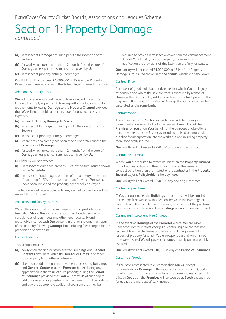- **(a)** in respect of **Damage** occurring prior to the inception of this Section
- **(b)** for work which takes more than 12 months from the date of **Damage** unless prior consent has been given by **Us**
- **(c)** in respect of property entirely undamaged.

**Our** liability will not exceed £1,000,000 or 15% of the Property Damage sum insured shown in the **Schedule**, whichever is the lower.

#### Additional Statutory Costs

**We** will pay reasonably and necessarily incurred additional costs involved in complying with statutory regulations or local authority requirements following **Damage** to the **Property Insured** provided that **We** will not be liable under this cover for any such costs or expenses:

- **(a)** incurred following **Damage** to **Stock**
- **(b)** in respect of **Damage** occurring prior to the inception of this Section
- **(c)** in respect of property entirely undamaged
- **(d)** where notice to comply has been served upon **You** prior to the occurrence of **Damage**
- **(e)** for work which takes more than 12 months from the date of **Damage** unless prior consent has been given by **Us**.

#### **Our** liability will not exceed:

- **(i)** in respect of damaged property 15% of the sum insured shown in the **Schedule**
- **(ii)** in respect of undamaged portions of the property (other than foundations) 15% of the total amount for which **We** would have been liable had the property been wholly destroyed.

The total amount recoverable under any item of this Section will not exceed its sum insured.

#### Architects' and Surveyors' Fees

Within the overall limit of the sum insured on **Property Insured** (excluding **Stock**) **We** will pay the cost of architects', surveyors', consulting engineers', legal and other fees necessarily and reasonably incurred with **Our** consent in the reinstatement or repair of the property following **Damage** but excluding fees charged for the preparation of any claim.

#### Capital Additions

This Section includes:

- **(a)** newly acquired and/or newly erected **Buildings** and **General Contents** anywhere within the **Territorial Limits** in so far as such property is not otherwise insured
- **(b)** alterations, additions and improvements to existing **Buildings** and **General Contents** at the **Premises** but excluding any appreciation in the value of such property during the **Period of Insurance** provided that **You** will notify **Us** of such capital additions as soon as possible or within 6 months of the addition and pay the appropriate additional premium that may be

required to provide retrospective cover from the commencement date of **Your** liability for such property. Following such notification the provisions of this Extension are fully reinstated.

**Our** liability will not exceed £1,000,000 or 15% of the Property Damage sum insured shown in the **Schedule**, whichever is the lower.

#### Contract Price

In respect of goods sold but not delivered for which **You** are legally responsible and where the sale contract is cancelled by reason of **Damage** then **Our** liability will be based on the contract price. For the purpose of the General Condition 4. Average the sum insured will be calculated on the same basis.

#### Contract Works

The insurance by this Section extends to include temporary or permanent works executed or in the course of execution at the **Premises** by **You** or on **Your** behalf for the purposes of alterations or improvements to the **Premises** including unfixed site materials supplied for incorporation into the works but not including property more specifically insured.

**Our** liability will not exceed £250,000 any one single contract.

#### Contractors Interest

Where **You** are required to effect insurance on the **Property Insured** in joint names of **You** and the contractor under the terms of a contract condition then the interest of the contractor in the **Property Insured** as joint **Policyholder** is hereby noted.

**Our** liability will not exceed £250,000 any one single contract.

#### Contracting Purchaser

If **You** contract to sell the **Buildings** the purchaser will be entitled to the benefit provided by this Section, between the exchange of contracts and the completion of the sale, provided that the purchaser completes the purchase and the **Buildings** are not otherwise insured.

#### Continuing Interest and Hire Charges

In the event of **Damage** at the **Premises** where **You** are liable under contract for interest charges or continuing hire charges not recoverable under the terms of a lease or similar agreement in respect of property for which **You** are responsible and which is not otherwise insured **We** will pay such charges actually and reasonably incurred.

**Our** liability will not exceed £10,000 in any one **Period of Insurance**.

#### Customers' Goods

If **You** have represented to customers that **You** will accept responsibility for **Damage** to the **Goods** of customers or to **Goods** for which such customers may be legally responsible, **We** agree that all such **Goods** on the **Premises** will be covered as **Stock** except in so far as they are more specifically insured.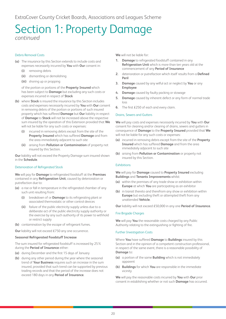#### Debris Removal Costs

- **(a)** The insurance by this Section extends to include costs and expenses necessarily incurred by **You** with **Our** consent in:
	- **(i)** removing debris
	- **(ii)** dismantling or demolishing
	- **(iii)** shoring up or propping

of the portion or portions of the **Property Insured** which has been subject to **Damage** but excluding any such costs or expenses incurred in respect of **Stock**

- **(b)** where **Stock** is insured the insurance by this Section includes costs and expenses necessarily incurred by **You** with **Our** consent in removing debris of the portion or portions of such insured property which has suffered **Damage** but **Our** liability in respect of **Damage** to **Stock** will not be increased above the respective sum insured by the operation of this Extension provided that **We** will not be liable for any such costs or expenses:
	- **(i)** incurred in removing debris except from the site of the **Property Insured** which has suffered **Damage** and from the area immediately adjacent to such site
	- **(ii)** arising from **Pollution or Contamination** of property not insured by this Section.

**Our** liability will not exceed the Property Damage sum insured shown in the **Schedule**.

#### Deterioration of Refrigerated Stock

**We** will pay for **Damage** to refrigerated foodstuff at the **Premises** contained in any **Refrigeration Unit**, caused by deterioration or putrefaction due to:

- **(a)** a rise or fall in temperature in the refrigerated chamber of any such unit resulting from:
	- **(i)** breakdown of or **Damage** to its refrigerating plant or associated thermostatic or other control devices
	- **(ii)** failure of the public electricity supply unless due to a deliberate act of the public electricity supply authority or the exercise by any such authority of its power to withhold or restrict supply
- **(b)** contamination by the escape of refrigerant fumes.

**Our** liability will not exceed £750 any one occurrence.

#### **Seasonal Refrigerated Foodstuff Increase**

The sum insured for refrigerated foodstuff is increased by 25% during the **Period of Insurance** either:

- **(a)** during December and the first 15 days of January
- **(b)** during any other period during the year where the seasonal trend of **Your Business** requires such an increase in the sum insured, provided that such trend can be supported by previous trading records and that the period of the increase does not exceed 180 days in any **Period of Insurance**.

**We** will not be liable for:

- **1. Damage** to refrigerated foodstuff contained in any **Refrigeration Unit** which is more than ten years old at the commencement of any **Period of Insurance**
- **2.** deterioration or putrefaction which itself results from a **Defined Peril**
- **3. Damage** caused by any wilful act or neglect by **You** or any **Employee**
- **4. Damage** caused by faulty packing or stowage
- **5. Damage** caused by inherent defect or any form of normal trade loss
- **6.** The first £250 of each and every claim.

#### Drains, Sewers and Gutters

**We** will pay costs and expenses necessarily incurred by **You** with **Our** consent for cleaning and/or clearing of drains, sewers and gutters in consequence of **Damage** to the **Property Insured** provided that **We** will not be liable for any such costs or expenses:

- **(a)** incurred in removing debris except from the site of the **Property Insured** which has suffered **Damage** and from the area immediately adjacent to such site
- **(b)** arising from **Pollution or Contamination** or property not insured by this Section.

#### Exhibitions

**We** will pay for **Damage** caused to **Property Insured** excluding **Buildings** and **Tenants Improvements** whilst:

- **(a)** within the premises of any trade show or exhibition within **Europe** at which **You** are participating as an exhibitor
- **(b)** in transit thereto and therefrom any show or exhibition within **Europe** but excluding theft or attempted theft from any unattended **Vehicle**.

**Our** liability will not exceed £50,000 in any one **Period of Insurance**.

#### Fire Brigade Charges

**We** will pay **You** the reasonable costs charged by any Public Authority relating to the extinguishing or fighting of fire.

#### Further Investigation Costs

Where **You** have suffered **Damage** to **Buildings** insured by this Section and in the opinion of a competent construction professional, in respect of the same event, there is a reasonable possibility of **Damage** to:

- **(a)** a portion of the same **Building** which is not immediately apparent
- **(b) Buildings** for which **You** are responsible in the immediate vicinity

**We** will pay the reasonable costs incurred by **You** with **Our** prior consent in establishing whether or not such **Damage** has occurred.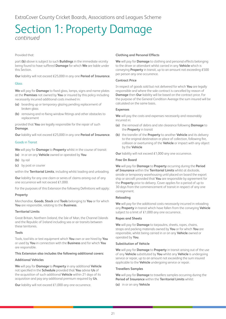#### Provided that:

part **(b)** above is subject to such **Buildings** in the immediate vicinity being found to have suffered **Damage** for which **We** are liable under this Section.

**Our** liability will not exceed £25,000 in any one **Period of Insurance**.

#### Glass

**We** will pay for **Damage** to fixed glass, lamps, signs and name plates at the **Premises** not owned by **You** or insured by this policy including necessarily incurred additional costs involved in:

- **(a)** boarding up or temporary glazing pending replacement of broken glass
- **(b)** removing and re-fixing window fittings and other obstacles to replacement

provided that **You** are legally responsible for the repair of such **Damage**.

**Our** liability will not exceed £25,000 in any one **Period of Insurance**.

#### Goods in Transit

**We** will pay for **Damage** to **Property** whilst in the course of transit:

- **(a)** in or on any **Vehicle** owned or operated by **You**
- **(b)** by rail
- **(c)** by post or courier

within the **Territorial Limits**, including whilst loading and unloading.

**Our** liability for any one claim or series of claims arising out of any one occurrence will not exceed £1,000.

For the purposes of this Extension the following Definitions will apply:

#### **Property**

Merchandise, **Goods**, **Stock** and **Tools** belonging to **You** or for which **You** are responsible, relating to the **Business**.

#### **Territorial Limits**

Great Britain, Northern Ireland, the Isle of Man, the Channel Islands and the Republic of Ireland including sea or air transits between these territories.

#### **Tools**

Tools, tool kits or test equipment which **You** own or are hired by **You** or used by **You** in connection with the **Business** and for which **You** are responsible.

#### **This Extension also includes the following additional covers:**

#### **Additional Vehicles**

**We** will pay for **Damage** to **Property** in any additional **Vehicle** not specified in the **Schedule** provided that **You** advise **Us** of the acquisition of such additional **Vehicle** within 21 days of its acquisition and pay any additional premium required by **Us**.

**Our** liability will not exceed £1,000 any one occurrence.

#### **Clothing and Personal Effects**

**We** will pay for **Damage** to clothing and personal effects belonging to the driver or attendant whilst carried in any **Vehicle** which is conveying **Property** in transit, up to an amount not exceeding £500 per person any one occurrence.

#### **Contract Price**

In respect of goods sold but not delivered for which **You** are legally responsible and where the sale contract is cancelled by reason of **Damage** then **Our** liability will be based on the contract price. For the purpose of the General Condition Average the sum insured will be calculated on the same basis.

#### **Expenses**

**We** will pay the costs and expenses necessarily and reasonably incurred in:

- **(a)** the removal of debris and site clearance following **Damage** to the **Property** in transit
- **(b)** the transfer of the **Property** to another **Vehicle** and its delivery to the original destination or place of collection, following fire, collision or overturning of the **Vehicle** or impact with any object by the **Vehicle**

**Our** liability will not exceed £1,000 any one occurrence.

#### **Free On Board**

**We** will pay for **Damage** to **Property** occurring during the **Period of Insurance** within the **Territorial Limits** whilst at dockside, airside or temporary warehousing until placed on board the export ship or aircraft provided that **You** are responsible by agreement for the **Property** prior to delivery. Cover applies for a period of up to 30 days from the commencement of transit in respect of any one consignment.

#### **Reloading**

**We** will pay for the additional costs necessarily incurred in reloading any **Property** in transit which have fallen from the conveying **Vehicle** subject to a limit of £1,000 any one occurrence.

#### **Ropes and Sheets**

**We** will pay for **Damage** to tarpaulins, sheets, ropes, chains, straps and packing materials owned by **You** or for which **You** are responsible, whilst being carried in or on any **Vehicle** owned or operated by **You**.

#### **Substitution of Vehicle**

**We** will pay for **Damage** to **Property** in transit arising out of the use of any **Vehicle** substituted by **You** whilst any **Vehicle** is undergoing service or repair, up to an amount not exceeding the sum insured applicable to the **Vehicle** undergoing service or repair.

#### **Travellers Samples**

**We** will pay for **Damage** to travellers samples occurring during the **Period of Insurance** within the **Territorial Limits** whilst:

**(a)** in or on any **Vehicle**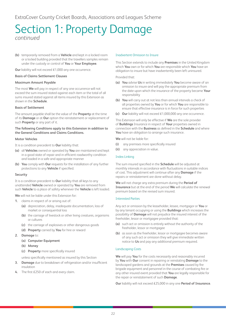**(b)** temporarily removed from a **Vehicle** and kept in a locked room or a locked building provided that the travellers samples remain under the custody or control of **You** or **Your Employee**.

**Our** liability will not exceed £1,000 any one occurrence.

#### **Basis of Claims Settlement Clauses**

#### **Maximum Amount Payable**

The most **We** will pay in respect of any one occurrence will not exceed the sum insured stated against each item or the total of all sums insured stated against all items insured by this Extension as shown in the **Schedule**.

#### **Basis of Settlement**

The amount payable shall be the value of the **Property** at the time of its **Damage** or at **Our** option the reinstatement or replacement of such **Property** or any part of it.

#### **The following Conditions apply to this Extension in addition to the General Conditions and Claims Conditions.**

#### **Motor Vehicles**

- It is a condition precedent to **Our** liability that:
- **(a)** all **Vehicles** owned or operated by **You** are maintained and kept in a good state of repair and in efficient roadworthy condition and loaded in a safe and appropriate manner
- **(b) You** comply with **Our** requests for the installation of any further protections to any **Vehicle** if specified.

#### **Security**

It is a condition precedent to **Our** liability that all keys to any unattended **Vehicle** owned or operated by **You** are removed from such **Vehicle** to a place of safety whenever the **Vehicle** is left loaded.

**We** will not be liable under this Extension for:

- **1.** claims in respect of or arising out of:
	- **(a)** depreciation, delay, inadequate documentation, loss of market or consequential loss
	- **(b)** the carriage of livestock or other living creatures, organisms or cultures
	- **(c)** the carriage of explosives or other dangerous goods
	- **(d) Property** carried by **You** for hire or reward

#### **2. Damage** to:

- **(a) Computer Equipment**
- **(b) Money**
- **(c) Property** more specifically insured

unless specifically mentioned as insured by this Section

- **3. Damage** due to breakdown of refrigeration and/or insufficient insulation
- **4.** The first £250 of each and every claim.

#### Inadvertent Omission to Insure

This Section extends to include any **Premises** in the United Kingdom which **You** own or for which **You** are responsible which **You** have an obligation to insure but have inadvertently been left uninsured.

Provided that:

- **(a) You** advise **Us** in writing immediately **You** become aware of an omission to insure and will pay the appropriate premium from the date upon which the insurance of the property became **Your** responsibility
- **(b) You** will carry out at not less than annual intervals a check of all properties owned by **You** or for which **You** are responsible to ensure that effective insurance is in force for such properties
- **(c) Our** liability will not exceed £1,000,000 any one occurrence.

This Extension will only be effective if **We** are the sole provider of **Buildings** Insurance in respect of **Your** properties owned in connection with the **Business** as defined in the **Schedule** and where **You** have an obligation to arrange such insurance.

**We** will not be liable for:

- **(i)** any premises more specifically insured
- **(ii)** any appreciation in value.

#### Index Linking

The sum insured specified in the **Schedule** will be adjusted at monthly intervals in accordance with fluctuations in suitable indices of cost. This adjustment will continue after any **Damage** if the repairs or reinstatement are done without delay.

**We** will not charge any extra premium during the **Period of Insurance** but at the end of the period **We** will calculate the renewal premium based on the revised sum insured.

#### Interested Parties

Any act or omission by the leaseholder, lessee, mortgagor or **You** or by any tenant occupying or using the **Buildings** which increases the possibility of **Damage** will not prejudice the insured interest of the freeholder, lessor or mortgagee provided that:

- **(a)** such act or omission is entirely without the authority of the freeholder, lessor or mortgagee
- **(b)** as soon as the freeholder, lessor or mortgagee becomes aware of any such act or omission they will give immediate written notice to **Us** and pay any additional premium required.

#### Landscaping Costs

**We** will pay **You** for the costs necessarily and reasonably incurred by **You** with **Our** consent in repairing or reinstating **Damage** to the landscaped gardens and grounds at the **Premises** caused by fire brigade equipment and personnel in the course of combating fire or any other insured event provided that **You** are legally responsible for the repair or reinstatement of such **Damage**.

**Our** liability will not exceed £25,000 in any one **Period of Insurance**.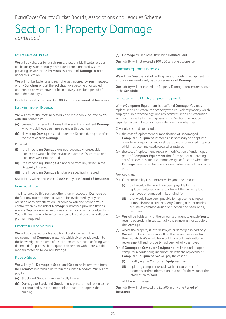#### Loss of Metered Utilities

**We** will pay charges for which **You** are responsible if water, oil, gas or electricity is accidentally discharged from a metered system providing service to the **Premises** as a result of **Damage** insured under this Section.

**We** will not be liable for any such charges incurred by **You** in respect of any **Buildings** or part thereof that have become unoccupied, untenanted or which have not been actively used for a period of more than 30 days.

**Our** liability will not exceed £25,000 in any one **Period of Insurance**.

#### Loss Minimisation Expenses

**We** will pay for the costs necessarily and reasonably incurred by **You** with **Our** consent in:

- **(a)** preventing or reducing losses in the event of imminent **Damage** which would have been insured under this Section
- **(b)** alleviating **Damage** insured under this Section during and after the event of such **Damage**

Provided that:

- **(i)** the impending **Damage** was not reasonably foreseeable earlier and would be the inevitable outcome if such costs and expenses were not incurred
- **(ii)** the impending **Damage** did not arise from any defect in the **Property Insured**
- **(iii)** the impending **Damage** is not more specifically insured.

**Our** liability will not exceed £10,000 in any one **Period of Insurance**.

#### Non-invalidation

The insurance by this Section, other than in respect of **Damage** by theft or any attempt thereat, will not be invalidated by any act or omission or by any alteration unknown to **You** and beyond **Your** control whereby the risk of **Damage** is increased provided that as soon as **You** become aware of any such act or omission or alteration **You** will give immediate written notice to **Us** and pay any additional premium required.

#### Obsolete Building Materials

**We** will pay the reasonable additional cost incurred in the replacement of **Damaged** materials which given consideration to the knowledge at the time of installation, construction or fitting were deemed fit for purpose but require replacement with more suitable modern materials following **Damage**.

#### Property Stored

**We** will pay for **Damage** to **Stock** and **Goods** whilst removed from the **Premises** but remaining within the United Kingdom. **We** will not pay for:

- **(a) Stock** and **Goods** more specifically insured
- **(b) Damage** to **Stock** and **Goods** in any yard, car park, open space or contained within an open sided structure or open sided building

**(c) Damage** caused other than by a **Defined Peril**.

**Our** liability will not exceed £100,000 any one occurrence.

#### Protection Equipment Expenses

**We** will pay **You** the cost of refilling fire extinguishing equipment and smoke cloaks used solely as a consequence of **Damage**.

**Our** liability will not exceed the Property Damage sum insured shown in the **Schedule**.

#### Reinstatement to Match (Computer Equipment)

Where **Computer Equipment** has suffered **Damage**, **You** may replace, repair or restore the property with equivalent property which employs current technology, and replacement, repair or restoration with such property for the purposes of this Section shall not be regarded as being better or more extensive than when new.

Cover also extends to include:

- **(a)** the cost of replacement or modification of undamaged **Computer Equipment** insofar as it is necessary to adapt it to operate in conjunction with lost, destroyed or damaged property which has been replaced, repaired or restored
- **(b)** the cost of replacement, repair or modification of undamaged parts of **Computer Equipment** that form part of a matching set of articles, or suite of common design or function where the **Damage** is restricted to a clearly identifiable area or to a specific part.

Provided that:

- **(a) Our** total liability is not increased beyond the amount:
	- **(i)** that would otherwise have been payable for the replacement, repair or restoration of the property lost, destroyed or damaged in its original form
	- **(ii)** that would have been payable for replacement, repair or modification if such property forming a set of articles, or suite of common design or function had been wholly destroyed
- **(b) We** will be liable only for the amount sufficient to enable **You** to resume operations in substantially the same manner as before the **Damage**
- **(c)** where the property is lost, destroyed or damaged in part only, **We** will not be liable for more than the amount representing the cost which **We** would have paid for repair, restoration or replacement if such property had been wholly destroyed
- **(d)** if **Damage** to **Computer Equipment** results in undamaged computer records being incompatible with the replacement **Computer Equipment**, **We** will pay the cost of:
	- **(i)** modifying the **Computer Equipment**; or
	- **(ii)** replacing computer records with reinstatement of programs and/or information (but not for the value of the information to **You**)

whichever is the less

**Our** liability will not exceed the £2,500 in any one **Period of Insurance**.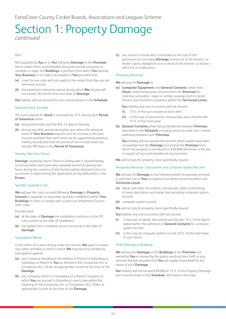#### Rent

Rent payable by **You** or to **You** following **Damage** to the **Premises** which makes them uninhabitable during the period necessary to reinstate or repair the **Buildings** or portions from which **You** operate **Your Business** or to make it accessible to **You** provided that:

- **(a)** cover for any costs will only apply to the extent that they are not otherwise insured
- **(b)** the maximum indemnity period during which **We** will pay will not exceed 36 months from the date of **Damage**.

**Our** liability will not exceed the sum insured shown in the **Schedule**.

#### Seasonal Stock Increase

The sums insured for **Stock** is increased by 25% during each **Period of Insurance** either:

- **(a)** during December and the first 15 days of January
- **(b)** during any other period during the year where the seasonal trend of **Your Business** requires such an increase in the sum insured, provided that such trend can be supported by previous trading records and that the period of the increase does not exceed 180 days in any **Period of Insurance**.

#### Seventy Two Hour Clause

**Damage** caused by Storm, Flood or Earthquake if insured hereby occurring within each and every separate period of seventy-two hours during the currency of this Section will be deemed to be one occurrence in determining the application of any deductible or the **Excess**.

#### Sprinkler Upgrade Costs

**We** will pay the costs incurred following **Damage** to **Property Insured** to upgrade an automatic sprinkler installation within **Your Buildings** in order to comply with current Loss Prevention Council (LPC) rules.

Provided that:

- **(a)** at the date of **Damage** the installation conforms to the LPC rules current at the date of installation
- **(b)** the system has a complete service record up to the date of **Damage**.

#### Subrogation Waiver

In the event of a claim arising under this Section **We** agree to waive any rights remedies or relief to which **We** may become entitled by subrogation against:

- **(a)** any company standing in the relation of Parent to Subsidiary or Subsidiary to Parent to **You** as defined in the Companies Act or Companies (N.I.) Order as appropriate current at the time of the **Damage**
- **(b)** any company which is a Subsidiary of a Parent Company of which **You** are yourself a Subsidiary in each case within the meaning of the Companies Act or Companies (N.I.) Order as appropriate current at the time of the **Damage**

**(c)** any tenant or lessee who contributes to the cost of the premiums but excluding **Damage** arising out of the tenant's or lessee's gross negligence or as a result of the tenant's or lessee's wilful act or recklessness.

#### Temporary Removal

#### **We** will pay for **Damage** to:

**(a) Computer Equipment** and **General Contents** (other than **Stock**) whilst temporarily removed from the **Premises** for cleaning, renovation, repair or similar purposes and in transit thereto and therefrom anywhere within the **Territorial Limits**.

**Our** liability any one occurrence will not exceed:

- **(i)** 15% of the sum insured on each item
- **(ii)** in the case of documents, manuscripts, plans and the like 15% of the total value.
- **(b) General Contents** whilst being transferred between **Premises** described in the **Schedule** including transit by road, rail or inland waterway between such **Premises**.

**Our** liability will not exceed the amount which would have been recoverable had the **Damage** occurred at the **Premises** from which the property is transferred or £50,000 whichever is the less in respect of any such transfers at any one time.

**We** will not pay for property more specifically insured.

#### Temporary Removal – Documents and Computer System Records

**We** will pay for **Damage** to the following whilst temporarily removed to premises not in **Your** occupation but whilst remaining within the **Territorial Limits**:

- **(a)** deeds and other documents, manuscripts, plans and writings of every description and books (but excluding computer system records)
- **(b)** computer system records

**We** will not pay for property more specifically insured.

**Our** liability any one occurrence will not exceed:

- **(i)** in the case of deeds, documents and the like 15% of the figure stated within the definition of **General Contents** for computer system records
- **(ii)** in the case of computer system records 10% of the total value of such items.

#### Theft Damage to Buildings

**We** will pay for **Damage** to the **Buildings** at the **Premises** not owned by **You** or insured by this policy resulting from theft or any attempt thereat provided that **You** are legally responsible for the repair of such **Damage**.

**Our** liability will not exceed £50,000 or 15% of the Property Damage sum insured shown in the **Schedule**, whichever is the lower.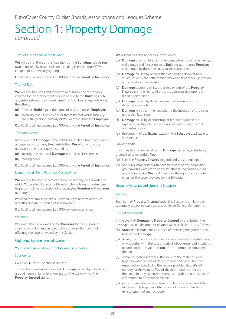#### Theft of Fixed Fabric of the Building

**We** will pay for theft of the fixed fabric of the **Buildings**, which **You** own or are legally responsible for including fixed external CCTV equipment and security lighting.

**Our** liability will not exceed £25,000 in any one **Period of Insurance**.

#### Theft of Keys

**We** will pay **You** costs and expenses necessarily and reasonably incurred for the replacement of locks or keys to the **Buildings** or to any safe or strongroom therein resulting from loss of keys following their theft:

- **(a)** from the **Buildings** or the home of any authorised **Employee**
- **(b)** involving assault or violence or threat thereof whilst such keys are in the personal custody of **You** or any authorised **Employee**.

**Our** liability will not exceed £25,000 in any one **Period of Insurance**.

#### Trace and Access

In the event of **Damage** at the **Premises** resulting from the escape of water or oil from any fixed installation, **We** will pay for costs necessarily and reasonably incurred in:

**(a)** locating the source of **Damage** in order to effect repairs

**(b)** making good.

**Our** liability will not exceed £25,000 in any one **Period of Insurance**.

#### Unauthorised Use of Electricity Gas or Water

**We** will pay **You** for the cost of metered electricity, gas or water for which **You** are legally responsible arising from its unauthorised use by persons taking possession of or occupying **Premises** without **Your** authority.

Provided that **You** shall take all practical steps to terminate such unauthorised use as soon as it is discovered.

**Our** liability will not exceed £50,000 any one occurrence.

#### Workmen

Workmen shall be allowed on the **Premises** for the purpose of carrying out minor repairs, decorations or alterations without affecting the cover provided by this Section.

#### Optional Extensions of Cover

#### **Your Schedule** will show if this Extension is operative.

#### Subsidence

Exclusion 16 of this Section is deleted.

This Section is extended to include **Damage** caused by subsidence, ground heave or landslip of any part of the site on which the **Property Insured** stands.

**We** will not be liable under this Extension for:

- **(a) Damage** to yards, forecourts, terraces, drives, roads, pavements, walls, gates and fences unless a **Building** at the same **Premises** is damaged by the same cause at the same time
- **(b) Damage** caused by or consisting of bedding down of new structures or by the settlement or movement of made up ground or by coastal or river erosion
- **(c) Damage** occurring whilst the whole or part of the **Property Insured** is in the course of erection, structural alterations or repair or demolition
- **(d) Damage** caused by defective design or workmanship or defective materials
- **(e) Damage** which commenced prior to the inception of the cover under this Extension
- **(f) Damage** cause by or consisting of fire, subterranean fire, explosion, earthquake or the escape of water from any tank, apparatus or pipe
- **(g)** the amount of the **Excess** stated in the **Schedule** applicable to Subsidence

#### Provided that:

Insofar as this insurance relates to **Damage** caused by subsidence, ground heave or landslip **You**:

- **(a)** keep the **Property Insured** in good and substantial repair
- **(b)** notify **Us** immediately **You** become aware of any demolition, groundworks, excavation or construction being carried out on any adjoining site. **We** shall then have the right to vary the terms or cancel the cover provided by this Extension.

#### Basis of Claims Settlement Clauses

#### Average

Each item of **Property Insured** under this Section is similarly but separately subject to Average as specified in General Condition 4.

#### Basis of Settlement

In the event of **Damage** to **Property Insured** by this Section the basis upon which the amount payable will be calculated is as follows:

- **(a) Stock** and **Goods** the cost price of replacing the goods at the time of the **Damage**
- **(b)** deeds, documents and business books their value as stationery only together with the cost of clerical labour expended in writing up and not for the value to **You** of the information contained therein
- **(c)** computer systems records the value of the materials only together with the cost of clerical labour and computer time expended in reproducing the records provided that **We** will not pay for the value to **You** of the information contained therein or for any expense in connection with the production of information to be recorded therein
- **(d)** patterns, models, moulds, plans and designs the value of the materials only together with the cost of labour expended in reinstatement of such property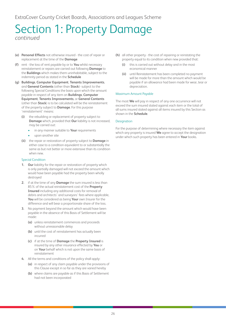- **(e) Personal Effects** not otherwise insured the cost of repair or replacement at the time of the **Damage**
- **(f)** rent the loss of rent payable by or to **You** whilst necessary reinstatement or repairs are carried out following **Damage** to the **Buildings** which makes them uninhabitable, subject to the indemnity period as stated in the **Schedule**
- **(g) Buildings**, **Computer Equipment**, **Tenants Improvements**, and **General Contents** (other than **Stock**)- subject to the following Special Conditions the basis upon which the amount payable in respect of any item on **Buildings**, **Computer Equipment**, **Tenants Improvements**, or **General Contents** (other than **Stock**) is to be calculated will be the reinstatement of the property subject to **Damage**. For this purpose 'reinstatement' means:
	- **(i)** the rebuilding or replacement of property subject to **Damage** which, provided that **Our** liability is not increased, may be carried out:
		- in any manner suitable to **Your** requirements
		- upon another site
	- **(ii)** the repair or restoration of property subject to **Damage** in either case to a condition equivalent to or substantially the same as but not better or more extensive than its condition when new.

#### Special Condition

- **1. Our** liability for the repair or restoration of property which is only partially damaged will not exceed the amount which would have been payable had the property been wholly destroyed
- **2.** if at the time of any **Damage** the sum insured is less than 85% of the actual reinstatement cost of the **Property Insured** including any additional costs for removal of debris and architects' and surveyors' fees where applicable, **You** will be considered as being **Your** own Insurer for the difference and will bear a proportionate share of the loss.
- **3.** No payment beyond the amount which would have been payable in the absence of this Basis of Settlement will be made:
	- **(a)** unless reinstatement commences and proceeds without unreasonable delay
	- **(b)** until the cost of reinstatement has actually been incurred
	- **(c)** if at the time of **Damage** the **Property Insured** is insured by any other insurance effected by **You** or on **Your** behalf which is not upon the same basis of reinstatement
- **4.** All the terms and conditions of the policy shall apply:
	- **(a)** in respect of any claim payable under the provisions of this Clause except in so far as they are varied hereby
	- **(b)** where claims are payable as if this Basis of Settlement had not been incorporated
- **(h)** all other property the cost of repairing or reinstating the property equal to its condition when new provided that:
	- **(i)** this is carried out without delay and in the most economical manner
	- **(ii)** until Reinstatement has been completed no payment will be made for more than the amount which would be payable if an allowance had been made for wear, tear or depreciation.

#### Maximum Amount Payable

The most **We** will pay in respect of any one occurrence will not exceed the sum insured stated against each item or the total of all sums insured stated against all items insured by this Section as shown in the **Schedule**.

#### **Designation**

For the purpose of determining where necessary the item against which any property is insured **We** agree to accept the designation under which such property has been entered in **Your** books.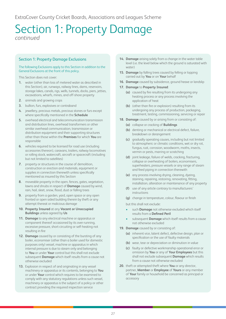#### Section 1: Property Damage Exclusions

#### The following Exclusions apply to this Section in addition to the General Exclusions at the front of this policy.

This Section does not cover:

- **1.** water (other than loss of metered water as described in this Section), air, runways, railway lines, dams, reservoirs, storage lakes, canals, rigs, wells, tunnels, docks, piers, jetties, excavations, wharfs, mines, and off-shore property
- **2.** animals and growing crops
- **3.** bullion, furs, explosives or contraband
- **4.** jewellery, precious metals, precious stones or furs except where specifically mentioned in the **Schedule**
- **5.** overhead electrical and telecommunication transmission and distribution lines, overhead transformers or other similar overhead communication, transmission or distribution equipment and their supporting structures other than those within the **Premises** for which **You** are responsible
- **6.** vehicles required to be licensed for road use (including accessories thereon), caravans, trailers, railway locomotives or rolling stock, watercraft, aircraft or spacecraft (including but not limited to satellites)
- **7.** property or structures in the course of demolition. construction or erection and materials, equipment or supplies in connection therewith unless specifically mentioned as insured by this Section
- **8.** moveable property in the open, fences, gates, vegetation, lawns and shrubs in respect of **Damage** caused by wind, rain, hail, sleet, snow, flood, dust or falling trees
- **9.** property from a garden, yard, open space or any open fronted or open sided building therein by theft or any attempt thereat or malicious damage
- **10. Property Insured** at any **Vacant or Unoccupied Buildings** unless agreed by **Us**
- **11. Damage** to any electrical machine or apparatus or component thereof occasioned by its over-running, excessive pressure, short-circuiting or self-heating not resulting in fire
- **12. Damage** caused by or consisting of the bursting of any boiler, economiser (other than a boiler used for domestic purposes only) vessel, machine or apparatus in which internal pressure is due to steam only and belonging to **You** or under **Your** control but this shall not exclude subsequent **Damage** which itself results from a cause not otherwise excluded
- **13.** Explosion in respect of and originating in any vessel machinery or apparatus or its contents, belonging to **You** or under **Your** control which requires to be examined to comply with any statutory regulations unless such vessel, machinery or apparatus is the subject of a policy or other contract providing the required inspection service
- **14. Damage** arising solely from a change in the water table level (i.e. the level below which the ground is saturated with water)
- **15. Damage** by falling trees caused by felling or lopping carried out by **You** or on **Your** behalf
- **16. Damage** caused by subsidence, ground heave or landslip
- **17. Damage** to **Property Insured**:
	- **(a)** caused by fire resulting from its undergoing any heating process or any process involving the application of heat
	- **(b)** (other than fire or explosion) resulting from its undergoing any process of production, packaging, treatment, testing, commissioning, servicing or repair
- **18. Damage** caused by or arising from or consisting of:
	- **(a)** collapse or cracking of **Buildings**
	- **(b)** denting or mechanical or electrical defect, failure, breakdown or derangement
	- **(c)** gradually operating causes, including but not limited to atmospheric or climatic conditions, wet or dry rot, fungus, rust, corrosion, woodworm, moths, insects, vermin or pests, marring or scratching
	- **(d)** joint leakage, failure of welds, cracking, fracturing, collapse or overheating of boilers, economisers, superheaters, pressure vessels or any range of steam and feed piping in connection therewith
	- **(e)** any process involving drying, cleaning, dyeing, staining, repairing, restoring, renovating, fitting, installation, alteration or maintenance of any property
	- **(f)** use of any article contrary to manufacturers' instructions
	- **(g)** change in temperature, colour, flavour or finish

but this shall not exclude:

- such **Damage** not otherwise excluded which itself results from a **Defined Peril**
- subsequent **Damage** which itself results from a cause not otherwise excluded
- **19. Damage** caused by or consisting of:
	- **(a)** inherent vice, latent defect, defective design, plan or specification or the use of faulty materials
	- **(b)** wear, tear or depreciation or diminution in value
	- **(c)** faulty or defective workmanship operational error or omission by **You** or any of **Your Employees** but this shall not exclude subsequent **Damage** which results from a cause not otherwise excluded
- **20.** theft or attempted theft where **You** or any director, partner, **Member** or **Employee** of **Yours** or any member of **Your** family or household be concerned as principal or accessory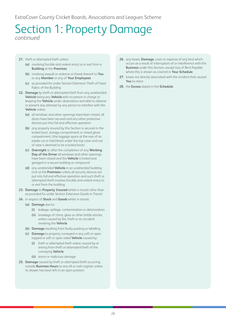- **21.** theft or attempted theft unless:
	- **(a)** involving forcible and violent entry to or exit from a **Building** at the **Premises**
	- **(b)** involving assault or violence or threat thereof to **You** or any **Member** or any of **Your Employees**
	- **(c)** as provided for under Section Extension Theft of Fixed Fabric of the Building
- **22. Damage** by theft or attempted theft from any unattended **Vehicle** being any **Vehicle** with no person in charge or keeping the **Vehicle** under observation and able to observe or prevent any attempt by any person to interfere with the **Vehicle** unless:
	- **(a)** all windows and other openings have been closed, all doors have been secured and any other protective devices put into full and effective operation
	- **(b)** any property insured by this Section is secured in the locked boot, storage compartment or closed glove compartment; (the luggage space at the rear of an estate car or hatchback under the top cover and out of view is deemed to be a locked boot)
	- **(c) Overnight** or after the completion of any **Working Day of the Driver** all windows and other openings have been closed and the **Vehicle** is locked and garaged in a secure building or compound
	- **(d)** any unattended **Vehicle** in an unattended building (not at the **Premises**) unless all security devices are put into full and effective operation and such theft or attempted theft involves forcible and violent entry to or exit from the building
- **23. Damage** to **Property Insured** whilst in transit other than as provided for under Section Extension Goods in Transit
- **24.** in respect of **Stock** and **Goods** whilst in transit:
	- **(a) Damage** due to:
		- **(i)** leakage, spillage, contamination or deterioration
		- **(ii)** breakage of china, glass or other brittle articles unless caused by fire, theft or an accident involving the **Vehicle**
	- **(b) Damage** resulting from faulty packing or labelling
	- **(c) Damage** to property conveyed in any soft or open topped or soft or open sided **Vehicle** caused by:
		- **(i)** theft or attempted theft unless caused by or arising from theft or attempted theft of the conveying **Vehicle**
		- **(ii)** storm or malicious damage
- **25. Damage** caused by theft or attempted theft occurring outside **Business Hours** to any till or cash register unless its drawer has been left in an open position
- **26.** any losses, **Damage**, costs or expense of any kind which occurs as a result of interruption of or interference with the **Business** under this Section, except loss of Rent Payable where this is shown as covered in **Your Schedule**
- **27.** losses not directly associated with the incident that caused **You** to claim
- **28.** the **Excess** stated in the **Schedule**.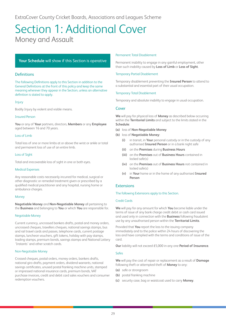# <span id="page-29-0"></span>Section 1: Additional Cover Money and Assault

#### **Your Schedule** will show if this Section is operative

#### Definitions

The following Definitions apply to this Section in addition to the General Definitions at the front of this policy and keep the same meaning wherever they appear in the Section, unless an alternative definition is stated to apply.

#### Injury

Bodily Injury by violent and visible means.

#### Insured Person

**You** or any of **Your** partners, directors, **Members** or any **Employee** aged between 16 and 70 years.

#### Loss of Limb

Total loss of one or more limbs at or above the wrist or ankle or total and permanent loss of use of an entire limb.

#### Loss of Sight

Total and irrecoverable loss of sight in one or both eyes.

#### Medical Expenses

Any reasonable costs necessarily incurred for medical, surgical or other diagnostic or remedial treatment given or prescribed by a qualified medical practitioner and any hospital, nursing home or ambulance charges.

#### Money

**Negotiable Money** and **Non-Negotiable Money** all pertaining to the **Business** and belonging to **You** or which **You** are responsible for.

#### Negotiable Money

Current currency, uncrossed bankers drafts, postal and money orders, uncrossed cheques, travellers cheques, national savings stamps, bus and rail travel cards and passes, telephone cards, current postage stamps, luncheon vouchers, gift tokens, holiday with pay stamps, trading stamps, premium bonds, savings stamps and National Lottery 'Instants' and other scratch cards.

#### Non-Negotiable Money

Crossed cheques, postal orders, money orders, bankers drafts, national giro drafts, payment orders, dividend warrants, national savings certificates, unused postal franking machine units, stamped or impressed national insurance cards, premium bonds, VAT purchase invoices, credit and debit card sales vouchers and consumer redemption vouchers.

#### Permanent Total Disablement

Permanent inability to engage in any gainful employment, other than such inability caused by **Loss of Limb** or **Loss of Sight**.

#### Temporary Partial Disablement

Temporary disablement preventing the **Insured Person** to attend to a substantial and essential part of their usual occupation.

#### Temporary Total Disablement

Temporary and absolute inability to engage in usual occupation.

#### Cover

**We** will pay for physical loss of **Money** as described below occurring within the **Territorial Limits** and subject to the limits stated in the **Schedule**:

- **(a)** loss of **Non-Negotiable Money**
- **(b)** loss of **Negotiable Money**:
	- **(i)** in transit, in **Your** personal custody or in the custody of any authorised **Insured Person** or in a bank night safe
	- **(ii)** on the **Premises** during **Business Hours**
	- **(iii)** on the **Premises** out of **Business Hours** contained in locked safe(s)
	- **(iv)** on the **Premises** out of **Business Hours** not contained in locked safe(s)
	- **(v)** in **Your** home or in the home of any authorised **Insured Person**

#### **Extensions**

#### The following Extensions apply to this Section.

#### Credit Cards

**We** will pay for any amount for which **You** become liable under the terms of issue of any bank charge credit debit or cash card issued and used only in connection with the **Business** following fraudulent use by any unauthorised person within the **Territorial Limits**.

Provided that **You** report the loss to the issuing company immediately and to the police within 24 hours of discovering the loss and have complied with the terms and conditions of issue of the card.

**Our** liability will not exceed £5,000 in any one **Period of Insurance**.

#### Safes

**We** will pay the cost of repair or replacement as a result of **Damage** following theft or attempted theft of **Money** to any:

- **(a)** safe or strongroom
- **(b)** postal franking machine
- **(c)** security case, bag or waistcoat used to carry **Money**.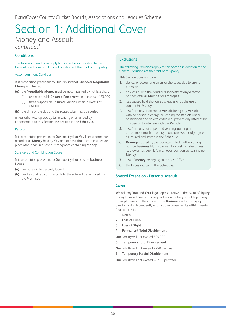# Section 1: Additional Cover Money and Assault *continued*

#### **Conditions**

The following Conditions apply to this Section in addition to the General Conditions and Claims Conditions at the front of this policy.

#### Accompaniment Condition

It is a condition precedent to **Our** liability that whenever **Negotiable Money** is in transit:

- **(a)** the **Negotiable Money** must be accompanied by not less than:
	- **(i)** two responsible **Insured Persons** when in excess of £3,000
	- **(ii)** three responsible **Insured Persons** when in excess of £6,000

**(b)** the time of the day and the routes taken must be varied

unless otherwise agreed by **Us** in writing or amended by Endorsement to this Section as specified in the **Schedule**.

#### Records

It is a condition precedent to **Our** liability that **You** keep a complete record of all **Money** held by **You** and deposit that record in a secure place other than in a safe or strongroom containing **Money**.

#### Safe Keys and Combination Codes

It is a condition precedent to **Our** liability that outside **Business Hours**:

- **(a)** any safe will be securely locked
- **(b)** any key and records of a code to the safe will be removed from the **Premises**.

#### **Exclusions**

#### The following Exclusions apply to this Section in addition to the General Exclusions at the front of this policy.

This Section does not cover:

- **1.** clerical or accounting errors or shortages due to error or omission
- **2.** any loss due to the fraud or dishonesty of any director, partner, official, **Member** or **Employee**
- **3.** loss caused by dishonoured cheques or by the use of counterfeit **Money**
- **4.** loss from any unattended **Vehicle** being any **Vehicle** with no person in charge or keeping the **Vehicle** under observation and able to observe or prevent any attempt by any person to interfere with the **Vehicle**
- **5.** loss from any coin-operated vending, gaming or amusement machine or payphone unless specially agreed as insured and stated in the **Schedule**
- **6. Damage** caused by theft or attempted theft occurring outside **Business Hours** to any till or cash register unless its drawer has been left in an open position containing no **Money**
- **7.** loss of **Money** belonging to the Post Office
- **8.** the **Excess** stated in the **Schedule**.

#### Special Extension - Personal Assault

#### Cover

**We** will pay **You** and **Your** legal representative in the event of **Injury** to any **Insured Person** consequent upon robbery or hold up or any attempt thereat in the course of the **Business** and such **Injury** directly and independently of any other cause results within twenty four months in:

- **1.** Death
- **2. Loss of Limb**
- **3. Loss of Sight**
- **4. Permanent Total Disablement**

**Our** liability will not exceed £25,000.

**5. Temporary Total Disablement**

**Our** liability will not exceed £250 per week.

**6. Temporary Partial Disablement** 

**Our** liability will not exceed £62.50 per week.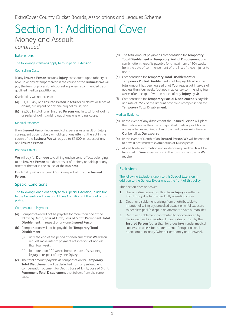# Section 1: Additional Cover Money and Assault *continued*

#### Extensions

The following Extensions apply to this Special Extension.

#### Counselling Costs

If any **Insured Person** sustains **Injury** consequent upon robbery or hold up or any attempt thereat in the course of the **Business We** will pay the fees for professional counselling when recommended by a qualified medical practitioner.

**Our** liability will not exceed:

- **(a)** £1,000 any one **Insured Person** in total for all claims or series of claims, arising out of any one original cause; and
- **(b)** £5,000 in total for all **Insured Persons** and in total for all claims or series of claims, arising out of any one original cause.

#### Medical Expenses

If an **Insured Person** incurs medical expenses as a result of **Injury** consequent upon robbery or hold up or any attempt thereat in the course of the **Business We** will pay up to £1,000 in respect of any one **Insured Person**.

#### Personal Effects

**We** will pay for **Damage** to clothing and personal effects belonging to an **Insured Person** as a direct result of robbery or hold up or any attempt thereat in the course of the **Business**.

**Our** liability will not exceed £500 in respect of any one **Insured Person**.

#### Special Conditions

The following Conditions apply to this Special Extension, in addition to the General Conditions and Claims Conditions at the front of this policy.

#### Compensation Payment

- **(a)** Compensation will not be payable for more than one of the following Death, **Loss of Limb**, **Loss of Sight**, **Permanent Total Disablement**, in respect of any one **Insured Person**.
- **(b)** Compensation will not be payable for **Temporary Total Disablement**:
	- **(i)** until the end of the period of disablement but **We** will on request make interim payments at intervals of not less than four weeks
	- **(ii)** for more than 104 weeks from the date of sustaining **Injury** in respect of any one **Injury**.
- **(c)** The total amount payable as compensation for **Temporary Total Disablement** will be deducted from any subsequent compensation payment for Death, **Loss of Limb**, **Loss of Sight**, **Permanent Total Disablement** that follows from the same cause
- **(d)** The total amount payable as compensation for **Temporary Total Disablement** or **Temporary Partial Disablement** or a combination thereof is payable for a maximum of 104 weeks from the date of commencement of the first of these injuries to occur
- **(e)** Compensation for **Temporary Total Disablement** or **Temporary Partial Disablement** shall be payable when the total amount has been agreed or at **Your** request at intervals of not less than four weeks (but not in advance) commencing four weeks after receipt of written notice of any **Injury** by **Us**
- **(f)** Compensation for **Temporary Partial Disablement** is payable at a rate of 25% of the amount payable as compensation for **Temporary Total Disablement**.

#### Medical Evidence

- **(a)** In the event of any disablement the **Insured Person** will place themselves under the care of a qualified medical practitioner and as often as required submit to a medical examination on **Our** behalf at **Our** expense
- **(b)** In the event of Death of an **Insured Person We** will be entitled to have a post mortem examination at **Our** expense
- **(c)** All certificate, information and evidence required by **Us** will be furnished at **Your** expense and in the form and nature as **We** require.

#### **Exclusions**

#### The following Exclusions apply to this Special Extension in addition to the General Exclusions at the front of this policy.

This Section does not cover:

- **1.** illness or disease not resulting from **Injury** or suffering from **Injury** due to any gradually operating cause
- **2.** Death or disablement arising from or attributable to intentional self-injury, provoked assault or wilful exposure to needless peril (except in an attempt to save human life)
- **3.** Death or disablement contributed to or accelerated by the influence of intoxicating liquor or drugs taken by the **Insured Person** (other than for drugs taken under medical supervision unless for the treatment of drug or alcohol addiction) or insanity (whether temporary or otherwise).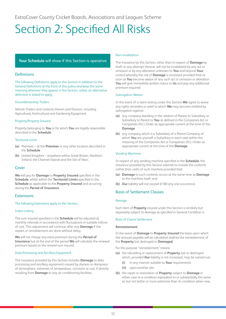# <span id="page-32-0"></span>Section 2: Specified All Risks

#### **Your Schedule** will show if this Section is operative

#### **Definitions**

The following Definitions apply to this Section in addition to the General Definitions at the front of this policy and keep the same meaning wherever they appear in the Section, unless an alternative definition is stated to apply.

#### Groundsmanship Trailers

Vehicle Trailers and contents therein and thereon, including Agricultural, Horticultural and Gardening Equipment.

#### Property/Property Insured

Property belonging to **You** or for which **You** are legally responsible described in the **Schedule**.

#### Territorial Limits

- **(a)** Premises at the **Premises** or any other location described in the **Schedule**
- **(b)** United Kingdom anywhere within Great Britain, Northern Ireland, the Channel Islands and the Isle of Man.

#### Cover

**We** will pay for **Damage** to **Property Insured** specified in the **Schedule**, whilst within the **Territorial Limits** specified in the **Schedule** as applicable to the **Property Insured** and occurring during the **Period of Insurance**.

#### **Extensions**

#### The following Extensions apply to this Section.

#### Index Linking

The sum insured specified in the **Schedule** will be adjusted at monthly intervals in accordance with fluctuations in suitable indices of cost. This adjustment will continue after any **Damage** if the repairs or reinstatement are done without delay.

**We** will not charge any extra premium during the **Period of Insurance** but at the end of the period **We** will calculate the renewal premium based on the revised sum insured.

#### Data Processing and Ancillary Equipment

The insurance provided by this Section includes **Damage** to data processing and ancillary equipment caused by dryness or dampness of atmosphere, extremes of temperature, corrosion or rust, if directly resulting from **Damage** to any air conditioning facilities.

#### Non-invalidation

The insurance by this Section, other than in respect of **Damage** by theft or any attempt thereat, will not be invalidated by any act or omission or by any alteration unknown to **You** and beyond **Your** control whereby the risk of **Damage** is increased provided that as soon as **You** become aware of any such act or omission or alteration **You** will give immediate written notice to **Us** and pay any additional premium required.

#### Subrogation Waiver

In the event of a claim arising under this Section **We** agree to waive any rights remedies or relief to which **We** may become entitled by subrogation against:

- **(a)** any company standing in the relation of Parent to Subsidiary or Subsidiary to Parent to **You** as defined in the Companies Act or Companies (N.I.) Order as appropriate current at the time of the **Damage**
- **(b)** any company which is a Subsidiary of a Parent Company of which **You** are yourself a Subsidiary in each case within the meaning of the Companies Act or Companies (N.I.) Order as appropriate current at the time of the **Damage**.

#### Vending Machines

In respect of any vending machine specified in the **Schedule**, the insurance provided by this Section extends to include the contents (other than cash) of such machine provided that:

- **(a) Damage** to such contents occurs at the same time as **Damage** to the machine itself; and
- **(b) Our** liability will not exceed £100 any one occurrence.

#### Basis of Settlement Clauses

#### Average

Each item of **Property** insured under this Section is similarly but separately subject to Average as specified in General Condition 4.

#### Basis of Claims Settlement

#### **Reinstatement**

In the event of **Damage** to **Property Insured** the basis upon which the amount payable will be calculated shall be the reinstatement of the **Property** lost destroyed or **Damaged**.

For this purpose "reinstatement" means:

- **(a)** the rebuilding or replacement of **Property** lost or destroyed which, provided **Our** liability is not increased, may be carried out:
	- **(i)** in any manner suitable to **Your** requirements
	- **(ii)** upon another site
- **(b)** the repair or restoration of **Property** subject to **Damage** in either case to a condition equivalent to or substantially the same as but not better or more extensive than its condition when new.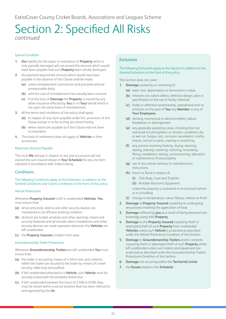# Section 2: Specified All Risks *continued*

#### Special Condition

- **1. Our** liability for the repair or restoration of **Property** which is only partially damaged will not exceed the amount which would have been payable had such **Property** been wholly destroyed.
- **2.** No payment beyond the amount which would have been payable in the absence of this Clause shall be made:
	- **(a)** unless reinstatement commences and proceeds without unreasonable delay
	- **(b)** until the cost of reinstatement has actually been incurred
	- **(c)** if at the time of **Damage** the **Property** is insured by any other insurance effected by **You** or on **Your** behalf which is not upon the same basis of reinstatement.
- **3.** All the terms and conditions of the policy shall apply:
	- **(a)** In respect of any claim payable under the provisions of this Clause except in so far as they are varied hereby
	- **(b)** where claims are payable as if this Clause had not been incorporated.
- **4.** This basis of settlement does not apply to **Vehicles** or their accessories.

#### Maximum Amount Payable

The most **We** will pay in respect of any one occurrence will not exceed the sum insured shown in **Your Schedule** for any one item adjusted in accordance with Index Linking.

#### **Conditions**

The following Conditions apply to this Extension, in addition to the General Conditions and Claims Conditions at the front of this policy.

#### Vehicle Protections

Whenever **Property Insured** is left in unattended **Vehicles**, **You** must ensure that:

- **(a)** all security locks, alarms and other security devices are maintained in an efficient working condition
- **(b)** all doors are locked, windows and other openings closed and securely fastened and all intruder alarm installations and other security devices are made operative whenever the **Vehicles** are left unattended
- **(c)** the **Property Insured** is hidden from view.

#### Groundsmanship Trailer Protections

Whenever **Groundsmanship Trailers** are left unattended **You** must ensure that:

- **(a)** the trailer is secured by means of a hitch-lock, and contents within the trailer are secured to the trailer by means of a steel security cable loop and padlock
- **(b)** if left unattended attached to a **Vehicle**, such **Vehicle** must be securely locked with the windows closed shut
- **(c)** if left unattended between the hours of 2100 to 0700, they must be stored within a secure location that has been referred to and approved by the **Us**.

#### **Exclusions**

#### The following Exclusions apply to this Section in addition to the General Exclusions at the front of this policy.

This Section does not cover:

- **1. Damage** caused by or consisting of:
	- **(a)** wear, tear, depreciation or diminution in value
	- **(b)** inherent vice, latent defect, defective design, plan or specification or the use of faulty materials
	- **(c)** faulty or defective workmanship, operational error or omission on the part of **You** any **Member** or any of **Your Employees**
	- **(d)** denting, mechanical or electrical defect, failure, breakdown or derangement
	- **(e)** any gradually operating cause, including (but not restricted to) atmospheric or climatic conditions, dry or wet rot, fungus, rust, corrosion, woodworm, moths, insects, vermin or pests, marring or scratching
	- **(f)** any process involving heating, drying, cleaning, dyeing, staining, repairing, restoring, renovating, fitting, installation, testing, commissioning, alteration or maintenance of any property
	- **(g)** use of any article contrary to manufacturers' instructions
	- **(h)** Storm or flood in respect of:
		- **(i)** Club Bags, Cups and Trophies
		- **(ii)** Portable Electronic Equipment unless the property is contained in an enclosed vehicle or in a building
	- **(i)** change in temperature, colour, flavour, texture or finish
- **2. Damage** to **Property Insured** caused by its undergoing any process involving the application of heat
- **3. Damage** suffered by **you** as a result of being deceived into knowingly party with **Property**
- **4. Damage** to the **Property Insured** caused by theft or attempted theft of such **Property** from unattended **Vehicles** unless such **Vehicle** is protected as described under the Vehicle Protections Condition of this Section
- **5. Damage** to **Groundsmanship Trailers** and/or contents caused by theft or attempted theft of such **Property** whilst left unattended unless such trailers and equipment are protected as described under the Groundsmanship Trailers Protections Condition of this Section
- **6. Damage** not occurring within the **Territorial Limits**
- **7.** the **Excess** stated in the **Schedule**.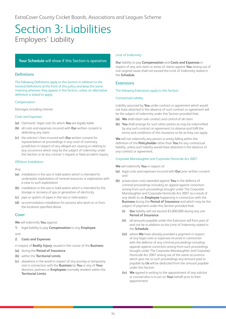# <span id="page-34-0"></span>Section 3: Liabilities Employers' Liability

#### **Your Schedule** will show if this Section is operative

#### Definitions

The following Definitions apply to this Section in addition to the General Definitions at the front of this policy and keep the same meaning wherever they appear in the Section, unless an alternative definition is stated to apply.

#### Compensation

Damages including interest.

#### Costs and Expenses

- **(a)** Claimants' legal costs for which **You** are legally liable
- **(b)** all costs and expenses incurred with **Our** written consent in defending any claim
- **(c)** the solicitor's fees incurred with **Our** written consent for representation at proceedings in any court of summary jurisdiction in respect of any alleged act causing or relating to any occurrence which may be the subject of indemnity under this Section or at any coroner's inquest or fatal accident inquiry.

#### Offshore Installation

Any:

- **(a)** installation in the sea or tidal waters which is intended for underwater exploitation of mineral resources or exploration with a view to such exploitation
- **(b)** installation in the sea or tidal waters which is intended for the storage or recovery of gas or generation of electricity
- **(c)** pipe or system of pipes in the sea or tidal waters
- **(d)** accommodation installation for persons who work on or from the locations specified above.

#### Cover

**We** will indemnify **You** against:

**1.** legal liability to pay **Compensation** to any **Employee** and

#### **2. Costs and Expenses**

in respect of **Bodily Injury** caused in the course of the **Business**:

- **(a)** during the **Period of Insurance**
- **(b)** within the **Territorial Limits**
- **(c)** elsewhere in the world in respect of any journey or temporary visit in connection with the **Business** by **You** or any of **Your** directors, partners or **Employees** normally resident within the **Territorial Limits**.

#### Limit of Indemnity

**Our** liability to pay **Compensation** and **Costs and Expenses** in respect of any one claim or series of claims against **You** arising out of one original cause shall not exceed the Limit of Indemnity stated in the **Schedule**.

#### Extensions

#### The following Extensions apply to this Section.

#### Contractual Liability

Liability assumed by **You** under contract or agreement which would not have attached in the absence of such contract or agreement will be the subject of indemnity under this Section provided that:

- **(a) We** shall retain sole conduct and control of all claim
- **(b) You** shall arrange for such other parties as may be indemnified by any such contract or agreement, to observe and fulfil the terms and conditions of this insurance so far as they can apply.

**We** will not indemnify any person or entity falling within the definition of the **Policyholder** other than **You** for any contractual liability, unless such liability would have attached in the absence of any contract or agreement.

#### Corporate Manslaughter and Corporate Homicide Act 2007

**We** will indemnify **You** in respect of:

- **(a)** legal costs and expenses incurred with **Our** prior written consent and
- **(b)** prosecution costs awarded against **You** in the defence of criminal proceedings including an appeal against conviction arising from such proceedings brought under The Corporate Manslaughter and Corporate Homicide Act 2007 as a result of any death to an **Employee** happening in connection with the **Business** during the **Period of Insurance** and which may be the subject of payment under this Section provided that:
	- **(i) Our** liability will not exceed £5,000,000 during any one **Period of Insurance**
	- **(ii)** all amounts payable under this Extension will form part of and not be in addition to the Limit of Indemnity stated in the **Schedule**
	- **(iii)** where **We** have already provided a payment in respect of any legal costs or expenses incurred in connection with the defence of any criminal proceedings including appeals against conviction arising from such proceedings brought under The Corporate Manslaughter and Corporate Homicide Act 2007 arising out of the same occurrence which give rise to such proceedings any amount paid or payable by **Us** will be deducted from the amount payable under this Section
	- **(iv) We** agreed in writing to the appointment of any solicitor or counsel who is to act on **Your** behalf prior to their appointment.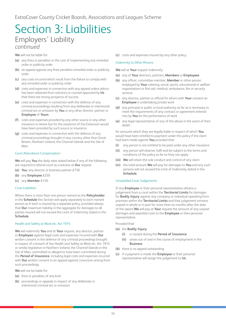# Section 3: Liabilities Employers' Liability *continued*

**We** will not be liable for:

- **(a)** any fines or penalties or the cost of implementing any remedial order or publicity order
- **(b)** an appeal against any fines penalties remedial order or publicity order
- **(c)** any costs incurred which result from the failure to comply with any remedial order or publicity order
- **(d)** costs and expenses in connection with any appeal unless advice has been obtained from solicitors or counsel approved by **Us** that there are strong prospects of success
- **(e)** costs and expenses in connection with the defence of any criminal proceedings resulting from any deliberate or intentional criminal act or omission by **You** or any other director, partner or **Employee** of **Yours**
- **(f)** costs and expenses provided by any other source or any other insurance or where but for the existence of this Extension would have been provided by such source or insurance
- **(g)** costs and expenses in connection with the defence of any criminal proceedings brought in any country other than Great Britain, Northern Ireland, the Channel Islands and the Isle of Man.

#### Court Attendance Compensation

**We** will pay **You** the daily rates stated below if any of the following are required to attend court as a witness at **Our** request:

- **(a) You**, any director or business partner £750
- **(b)** any **Employee** £250
- **(c)** any **Member** £150

#### Cross Liabilities

Where there is more than one person named as the **Policyholder** in the **Schedule** this Section will apply separately to each named person as if each is insured by a separate policy, provided always that **Our** maximum liability in the aggregate for damages to all parties insured will not exceed the Limit of Indemnity stated in the **Schedule**.

#### Health and Safety at Work etc. Act 1974

**We** will indemnify **You** and at **Your** request, any director, partner or **Employee** against legal costs and expenses incurred with **Our** written consent in the defence of any criminal proceedings brought in respect of a breach of the Health and Safety at Work etc. Act 1974 or similar legislation in Northern Ireland, the Channel Islands or the Isle of Man, committed or alleged to have been committed during the **Period of Insurance**, including legal costs and expenses incurred with **Our** written consent in an appeal against conviction arising from such proceedings.

**We** will not be liable for:

- **(a)** fines or penalties of any kind
- **(b)** proceedings or appeals in respect of any deliberate or intentional criminal act or omission

**(c)** costs and expenses insured by any other policy.

#### Indemnity to Other Persons

**We** will at **Your** request indemnify:

- **(a)** any of **Your** directors, partners, **Members** or **Employees**
- **(b)** any officer, committee member, **Member** or other person employed by **Your** catering, social, sports, educational or welfare organisations or first-aid, medical, ambulance, fire or security services
- **(c)** any director, partner or official for whom with **Your** consent an **Employee** is undertaking private work
- **(d)** any principal or public or local authority as far as is necessary to meet the requirements of any contract or agreement entered into by **You** for the performance of work
- **(e)** any legal representative of any of the above in the event of their death

for amounts which they are legally liable in respect of which **You** would have been entitled to payment under this policy if the claim had been made against **You** provided that:

- **(i)** any person is not entitled to be paid under any other insurance
- **(ii)** any person will observe, fulfil and be subject to the terms and conditions of the policy as far as they can apply
- **(iii) We** will retain the sole conduct and control of any claim
- **(iv)** the total amount **We** will pay for damages to **You** and any such persons will not exceed the Limit of Indemnity stated in the **Schedule**.

#### Unsatisfied Court Judgements

If any **Employee** or their personal representative obtains a judgement from a court within the **Territorial Limits** for damages for **Bodily Injury** against any company or individual operating from premises within the **Territorial Limits** and that judgement remains unpaid in whole or in part for more than six months after the date of the award **We** will pay at **Your** request the amount of any unpaid damages and awarded costs to the **Employee** or their personal representative.

#### Provided that:

- **(a)** the **Bodily Injury**:
	- **(i)** is caused during the **Period of Insurance**
	- **(ii)** arises out of and in the course of employment in the **Business**
- **(b)** there is no appeal outstanding
- **(c)** if a payment is made the **Employee** or their personal representative will assign the judgement to **Us**.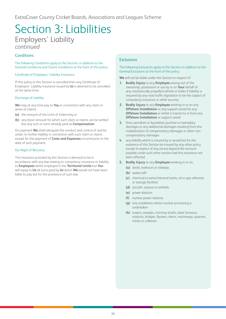# Section 3: Liabilities Employers' Liability *continued*

#### **Conditions**

The following Conditions apply to this Section, in addition to the General Conditions and Claims Conditions at the front of this policy.

#### Certificate of Employers' Liability Insurance

If this policy or this Section is cancelled then any Certificate of Employers' Liability insurance issued by **Us** is deemed to be cancelled at the same time.

#### Discharge of Liability

**We** may at any time pay to **You** in connection with any claim or series of claims:

- **(a)** the amount of the Limit of Indemnity or
- **(b)** any lesser amount for which such claim or claims can be settled less any sum or sums already paid as **Compensation**.

On payment **We** shall relinquish the conduct and control of and be under no further liability in connection with such claim or claims except for the payment of **Costs and Expenses** incurred prior to the date of such payment.

#### Our Right of Recovery

The insurance provided by this Section is deemed to be in accordance with any law relating to compulsory insurance or liability to **Employees** whilst employed in the **Territorial Limits** but **You** will repay to **Us** all sums paid by **Us** which **We** would not have been liable to pay but for the provisions of such law.

#### **Exclusions**

#### The following Exclusions apply to this Section in addition to the General Exclusions at the front of this policy.

**We** will not be liable under this Section in respect of:

- **1. Bodily Injury** to any **Employee** arising out of the ownership, possession or use by or on **Your** behalf of any mechanically propelled vehicle or trailer if liability is required by any road traffic legislation to be the subject of compulsory insurance or other security
- **2. Bodily Injury** to any **Employee** working in or on any **Offshore Installation** or any support vessel for any **Offshore Installation** or whilst in transit to or from any **Offshore Installation** or support vessel
- **3.** fines, penalties or liquidated, punitive or exemplary damages or any additional damages resulting from the multiplication of compensatory damages or other noncompensatory damages
- **4.** any liability which is insured by or would but for the existence of this Section be insured by any other policy except in respect of any excess beyond the amount payable under such other section had this insurance not been effected
- **5. Bodily Injury** to any **Employee** working in or on:
	- **(a)** docks, harbours or railways
	- **(b)** watercraft
	- **(c)** chemical or petrochemical works, oil or gas refineries or storage facilities
	- **(d)** aircraft, airports or airfields
	- **(e)** power stations
	- **(f)** nuclear power stations
	- **(g)** any installation where nuclear processing is undertaken
	- **(h)** towers, steeples, chimney shafts, blast furnaces, viaducts, bridges, flyovers, dams, motorways, quarries, mines or collieries.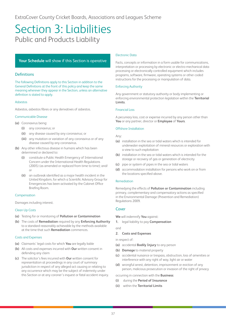#### <span id="page-37-0"></span>**Your Schedule** will show if this Section is operative

#### **Definitions**

The following Definitions apply to this Section in addition to the General Definitions at the front of this policy and keep the same meaning wherever they appear in the Section, unless an alternative definition is stated to apply.

#### Asbestos

Asbestos, asbestos fibres or any derivatives of asbestos.

#### Communicable Disease

- **(a)** Coronavirus being:
	- **(i)** any coronavirus; or
	- **(ii)** any disease caused by any coronavirus; or
	- **(iii)** any mutation or variation of any coronavirus or of any disease caused by any coronavirus.
- **(b)** Any other infectious disease in humans which has been determined or declared to:
	- **(i)** constitute a Public Health Emergency of International Concern under the International Health Regulations (2005) (as amended or replaced from time to time); and/ or
	- **(ii)** an outbreak identified as a major health incident in the United Kingdom, for which a Scientific Advisory Group for Emergencies has been activated by the Cabinet Office Briefing Room.

#### Compensation

Damages including interest.

#### Clean Up Costs

- **(a)** Testing for or monitoring of **Pollution or Contamination**
- **(b)** The costs of **Remediation** required by any **Enforcing Authority** to a standard reasonably achievable by the methods available at the time that such **Remediation** commences.

#### Costs and Expenses

- **(a)** Claimants' legal costs for which **You** are legally liable
- **(b)** All costs and expenses incurred with **Our** written consent in defending any claim
- **(c)** The solicitor's fees incurred with **Our** written consent for representation at proceedings in any court of summary jurisdiction in respect of any alleged act causing or relating to any occurrence which may be the subject of indemnity under this Section or at any coroner's inquest or fatal accident inquiry.

#### Electronic Data

Facts, concepts or information in a form usable for communications, interpretation or processing by electronic or electro-mechanical data processing or electronically controlled equipment which includes programs, software, firmware, operating systems or other coded instructions for the processing or manipulation of data.

#### Enforcing Authority

Any government or statutory authority or body implementing or enforcing environmental protection legislation within the **Territorial Limits**.

#### Financial Loss

A pecuniary loss, cost or expense incurred by any person other than **You** or any partner, director or **Employee** of **Yours**.

#### Offshore Installation

#### Any:

- **(a)** installation in the sea or tidal waters which is intended for underwater exploitation of mineral resources or exploration with a view to such exploitation
- **(b)** installation in the sea or tidal waters which is intended for the storage or recovery of gas or generation of electricity
- **(c)** pipe or system of pipes in the sea or tidal waters
- **(d)** accommodation installation for persons who work on or from the locations specified above.

#### Remediation

Remedying the effects of **Pollution or Contamination** including primary, complementary and compensatory actions as specified in the Environmental Damage (Prevention and Remediation) Regulations 2009.

#### Cover

**We** will indemnify **You** against:

**1.** legal liability to pay **Compensation**

and

#### **2. Costs and Expenses**

in respect of:

- **(a)** accidental **Bodily Injury** to any person
- **(b) Damage** to material property
- **(c)** accidental nuisance or trespass, obstruction, loss of amenities or interference with any right of way, light air or water
- **(d)** wrongful arrest, detention, imprisonment or eviction of any person, malicious prosecution or invasion of the right of privacy

occurring in connection with the **Business**:

- **(i)** during the **Period of Insurance**
- **(ii)** within the **Territorial Limits**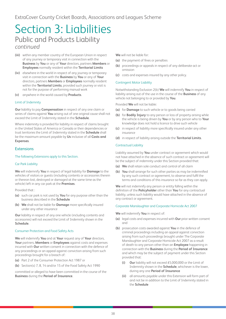- **(iii)** within any member country of the European Union in respect of any journey or temporary visit in connection with the **Business** by **You** or any of **Your** directors, partners **Members** or **Employees** normally resident within the **Territorial Limits**
- **(iv)** elsewhere in the world in respect of any journey or temporary visit in connection with the **Business** by **You** or any of **Your** directors, partners **Members** or **Employees** normally resident within the **Territorial Limits**, provided such journey or visit is not for the purpose of performing manual work
- **(v)** anywhere in the world caused by **Products**.

#### Limit of Indemnity

**Our** liability to pay **Compensation** in respect of any one claim or series of claims against **You** arising out of one original cause shall not exceed the Limit of Indemnity stated in the **Schedule**.

Where indemnity is provided for liability in respect of claims brought in the United States of America or Canada or their dependencies or trust territories the Limit of Indemnity stated in the **Schedule** shall be the maximum amount payable by **Us** inclusive of all **Costs and Expenses**.

#### Extensions

#### The following Extensions apply to this Section.

#### Car Park Liability

**We** will indemnify **You** in respect of legal liability for **Damage** to the vehicles of visitors or guests (including contents or accessories therein or thereon lost, destroyed or damaged at the same time as the vehicle) left in any car park at the **Premises**.

Provided that :

- **(a)** such car park is not used by **You** for any purpose other than the business described in the **Schedule**
- **(b) We** shall not be liable for **Damage** more specifically insured under any other insurance

**Our** liability in respect of any one vehicle (including contents and accessories) will not exceed the Limit of Indemnity shown in the **Schedule**.

#### Consumer Protection and Food Safety Acts

**We** will indemnify **You** and at **Your** request any of **Your** directors, **Your** partners, **Members** or **Employees** against costs and expenses incurred with **Our** written consent in connection with the defence of any proceedings or an appeal against conviction arising from such proceedings brought for a breach of:

- **(a)** Part 2 of the Consumer Protection Act 1987 or
- **(b)** Section(s) 7, 8, 14 and/or 15 of the Food Safety Act 1990

committed or alleged to have been committed in the course of the **Business** during the **Period of Insurance**.

**We** will not be liable for:

- **(a)** the payment of fines or penalties
- **(b)** proceedings or appeals in respect of any deliberate act or omission
- **(c)** costs and expenses insured by any other policy.

#### Contingent Motor Liability

Notwithstanding Exclusion 2(b) **We** will indemnify **You** in respect of liability arising out of the use in the course of the **Business** of any vehicle not belonging to or provided by **You**.

Provided **We** will not be liable:

- **(a)** for **Damage** to such vehicle or to goods being carried
- **(b)** for **Bodily Injury** to any person or loss of property arising while the vehicle is being driven by **You** or by any person who to **Your** knowledge does not hold a licence to drive such vehicle
- **(c)** in respect of liability more specifically insured under any other insurance
- **(d)** in respect of liability arising outside the **Territorial Limits**.

#### Contractual Liability

Liability assumed by **You** under contract or agreement which would not have attached in the absence of such contract or agreement will be the subject of indemnity under this Section provided that:

- **(a) We** shall retain sole conduct and control of all claim
- **(b) You** shall arrange for such other parties as may be indemnified by any such contract or agreement, to observe and fulfil the terms and conditions of this insurance so far as they can apply.

**We** will not indemnify any person or entity falling within the definition of the **Policyholder** other than **You** for any contractual liability, unless such liability would have attached in the absence of any contract or agreement.

#### Corporate Manslaughter and Corporate Homicide Act 2007

**We** will indemnify **You** in respect of:

- **(a)** legal costs and expenses incurred with **Our** prior written consent and
- **(b)** prosecution costs awarded against **You** in the defence of criminal proceedings including an appeal against conviction arising from such proceedings brought under The Corporate Manslaughter and Corporate Homicide Act 2007 as a result of death to any person other than an **Employee** happening in connection with the **Business** during the **Period of Insurance** and which may be the subject of payment under this Section provided that:
	- **(i) Our** liability will not exceed £5,000,000 or the Limit of Indemnity shown in the **Schedule**, whichever is the lower, during any one **Period of Insurance**
	- **(ii)** all amounts payable under this Extension will form part of and not be in addition to the Limit of Indemnity stated in the **Schedule**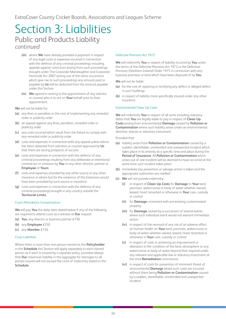- **(iii)** where **We** have already provided a payment in respect of any legal costs or expenses incurred in connection with the defence of any criminal proceedings including appeals against conviction arising from such proceedings brought under The Corporate Manslaughter and Corporate Homicide Act 2007 arising out of the same occurrence which give rise to such proceedings any amount paid or payable by **Us** will be deducted from the amount payable under this Section
- **(iv) We** agreed in writing to the appointment of any solicitor or counsel who is to act on **Your** behalf prior to their appointment.

**We** will not be liable for:

- **(a)** any fines or penalties or the cost of implementing any remedial order or publicity order
- **(b)** an appeal against any fines, penalties, remedial order or publicity order
- **(c)** any costs incurred which result from the failure to comply with any remedial order or publicity order
- **(d)** costs and expenses in connection with any appeal unless advice has been obtained from solicitors or counsel approved by **Us** that there are strong prospects of success
- **(e)** costs and expenses in connection with the defence of any criminal proceedings resulting from any deliberate or intentional criminal act or omission by **You** or any other director, partner or **Employee** of **Yours**
- **(f)** costs and expenses provided by any other source or any other insurance or where but for the existence of this Extension would have been provided by such source or insurance
- **(g)** costs and expenses in connection with the defence of any criminal proceedings brought in any country outside the **Territorial Limits**.

#### Court Attendance Compensation

**We** will pay **You** the daily rates stated below if any of the following are required to attend court as a witness at **Our** request:

- **(a) You**, any director or business partner £750
- **(b)** any **Employee** £250
- **(c)** any **Member** £150

#### Cross Liabilities

Where there is more than one person named as the **Policyholder** in the **Schedule** this Section will apply separately to each named person as if each is insured by a separate policy, provided always that **Our** maximum liability in the aggregate for damages to all parties insured will not exceed the Limit of Indemnity stated in the **Schedule**.

#### Defective Premises Act 1972

**We** will indemnify **You** in respect of liability incurred by **You** under the terms of the Defective Premises Act 1972 or the Defective Premises (Northern Ireland) Order 1975 in connection with any business premises or land which have been disposed of by **You**.

**We** will not be liable:

- **(a)** for the cost of repairing or rectifying any defect or alleged defect in such buildings
- **(b)** in respect of liability more specifically insured under any other insurance.

#### Environmental Clean Up Costs

**We** will indemnify **You** in respect of all sums including statutory debts that **You** are legally liable to pay in respect of **Clean Up Costs** arising from environmental **Damage** caused by **Pollution or Contamination** where such liability arises under an environmental directive, statute or statutory instrument.

Provided that:

- **(a)** liability arises from **Pollution or Contamination** caused by a sudden, identifiable, unintended and unexpected incident which takes place in its entirety at a specific time and place during the **Period of Insurance**. All **Pollution or Contamination** which arises out of one incident will be deemed to have occurred at the same time such incident takes place
- **(b)** immediate loss prevention or salvage action is taken and the appropriate authorities are notified
- **(c) We** will not provide indemnity:
	- **(i)** in respect of **Clean Up Costs** for **Damage** to **Your** land, premises, watercourse or body of water whether owned, leased, hired, tenanted or otherwise in **Your** care, custody or control
	- **(ii)** for **Damage** connected with pre-existing contaminated property
	- **(iii)** for **Damage** caused by a succession of several events where such individual event would not warrant immediate action
	- **(iv)** in respect of the removal of any risk of an adverse effect on human health on **Your** land, premises, watercourse or body of water whether owned, leased, hired, tenanted or otherwise in **Your** care, custody or control
	- **(v)** in respect of costs in achieving an improvement or alteration in the condition of the land, atmosphere or any watercourse or body of water beyond that required under any relevant and applicable law or statutory enactment at the time **Remediation** commences
	- **(vi)** in respect of costs for prevention of imminent threat of environmental **Damage** where such costs are incurred without there being **Pollution or Contamination** caused by a sudden, identifiable, unintended and unexpected incident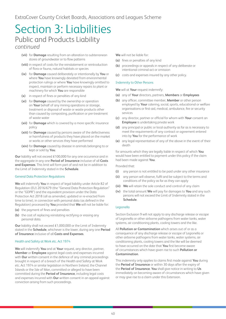- **(vii)** for **Damage** resulting from an alteration to subterranean stores of groundwater or to flow patterns
- **(viii)** in respect of costs for the reinstatement or reintroduction of flora or fauna, natural habitats or species
- **(ix)** for **Damage** caused deliberately or intentionally by **You** or where **You** have knowingly deviated from environmental protection rulings or where **You** have knowingly omitted to inspect, maintain or perform necessary repairs to plant or machinery for which **You** are responsible
- **(x)** in respect of fines or penalties of any kind
- **(xi)** for **Damage** caused by the ownership or operation on **Your** behalf of any mining operations or storage, treatment or disposal of waste or waste products other than caused by composting, purification or pre-treatment of waste water
- **(xii)** for **Damage** which is covered by a more specific insurance policy
- **(xiii)** for **Damage** caused by persons aware of the defectiveness or harmfulness of products they have placed on the market or works or other services they have performed
- **(xiv)** for **Damage** caused by disease in animals belonging to or kept or sold by **You**.

**Our** liability will not exceed £100,000 for any one occurrence and in the aggregate in any one **Period of Insurance** inclusive of all **Costs and Expenses**. This limit will form part of and not be in addition to the Limit of Indemnity stated in the **Schedule**.

#### General Data Protection Regulations

**We** will indemnify **You** in respect of legal liability under Article 82 of Regulation (EU) 2016/679 (the "General Data Protection Regulation" or the "GDPR") and the equivalent provision under the Data Protection Act 2018 (all as amended, updated or re-enacted from time to time), in connection with personal data (as defined in the Regulation) processed by **You** provided that **We** will not be liable for:

- **(a)** the payment of fines and penalties
- **(b)** the cost of replacing reinstating rectifying or erasing any personal data.

**Our** liability shall not exceed £1,000,000 or the Limit of Indemnity stated in the **Schedule**, whichever is the lower, during any one **Period of Insurance** inclusive of all **Costs and Expenses**.

#### Health and Safety at Work etc. Act 1974

**We** will indemnify **You** and at **Your** request, any director, partner, **Member** or **Employee** against legal costs and expenses incurred with **Our** written consent in the defence of any criminal proceedings brought in respect of a breach of the Health and Safety at Work etc. Act 1974 or similar legislation in Northern Ireland, the Channel Islands or the Isle of Man, committed or alleged to have been committed during the **Period of Insurance**, including legal costs and expenses incurred with **Our** written consent in an appeal against conviction arising from such proceedings.

**We** will not be liable for:

- **(a)** fines or penalties of any kind
- **(b)** proceedings or appeals in respect of any deliberate or intentional criminal act or omission
- **(c)** costs and expenses insured by any other policy.

#### Indemnity to Other Persons

**We** will at **Your** request indemnify:

- **(a)** any of **Your** directors, partners, **Members** or **Employees**
- **(b)** any officer, committee member, **Member** or other person employed by **Your** catering, social, sports, educational or welfare organisations or first-aid, medical, ambulance, fire or security services
- **(c)** any director, partner or official for whom with **Your** consent an **Employee** is undertaking private work
- **(d)** any principal or public or local authority as far as is necessary to meet the requirements of any contract or agreement entered into by **You** for the performance of work
- **(e)** any legal representative of any of the above in the event of their death

for amounts which they are legally liable in respect of which **You** would have been entitled to payment under this policy if the claim had been made against **You**.

Provided that:

- **(i)** any person is not entitled to be paid under any other insurance
- **(ii)** any person will observe, fulfil and be subject to the terms and conditions of the policy as far as they can apply
- **(iii) We** will retain the sole conduct and control of any claim
- **(iv)** the total amount **We** will pay for damages to **You** and any such persons will not exceed the Limit of Indemnity stated in the **Schedule**.

#### Legionella

Section Exclusion 9 will not apply to any discharge release or escape of Legionella or other airborne pathogens from water tanks, water systems, air conditioning plants, cooling towers and the like.

All **Pollution or Contamination** which arises out of or as a consequence of any discharge release or escape of Legionella or other airborne pathogens from water tanks, water systems, air conditioning plants, cooling towers and the like will be deemed to have occurred on the date that **You** first become aware of circumstances which have given rise to such **Pollution or Contamination**.

This indemnity only applies to claims first made against **You** during the **Period of Insurance** or within 30 days after the expiry of the **Period of Insurance**. **You** shall give notice in writing to **Us** immediately on becoming aware of circumstances which have given or may give rise to a claim under this Extension.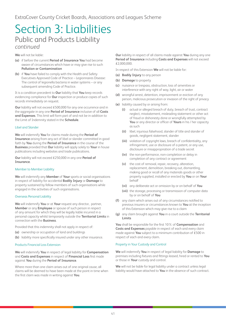**We** will not be liable:

- **(a)** if before the current **Period of Insurance You** had become aware of circumstances which have or may give rise to such **Pollution or Contamination**
- **(b)** if **You** have failed to comply with the Health and Safety Executives Approved Code of Practice – Legionnaires Disease: The control of legionella bacteria in water systems – or any subsequent amending Code of Practice.

It is a condition precedent to **Our** liability that **You** keep records evidencing compliance for **Our** inspection or produce copies of such records immediately on request.

**Our** liability will not exceed £500,000 for any one occurrence and in the aggregate in any one **Period of Insurance** inclusive of all **Costs and Expenses**. This limit will form part of and not be in addition to the Limit of Indemnity stated in the **Schedule**.

#### Libel and Slander

**We** will indemnify **You** for claims made during the **Period of Insurance** arising from any act of libel or slander committed in good faith by **You** during the **Period of Insurance** in the course of the **Business** provided that **Our** liability will apply solely to **Your** in house publications including websites and trade publications.

**Our** liability will not exceed £250,000 in any one **Period of Insurance**.

#### Member to Member Liability

**We** will indemnify any **Member** of **Your** sports or social organisations in respect of liability for accidental **Bodily Injury** or **Damage** to property sustained by fellow members of such organisations while engaged in the activities of such organisations.

#### Overseas Personal Liability

**We** will indemnify **You** or at **Your** request any director, partner, **Member** or any **Employee** or spouse of such person in respect of any amount for which they will be legally liable incurred in a personal capacity whilst temporarily outside the **Territorial Limits** in connection with the **Business**.

Provided that this indemnity shall not apply in respect of:

- **(a)** ownership or occupation of land and buildings
- **(b)** liability more specifically insured under any other insurance.

#### Products Financial Loss Extension

**We** will indemnify **You** in respect of legal liability for **Compensation** and **Costs and Expenses** in respect of **Financial Loss** first made against **You** during the **Period of Insurance**.

Where more than one claim arises out of one original cause, all claims will be deemed to have been made at the point in time when the first claim was made in writing against **You**.

**Our** liability in respect of all claims made against **You** during any one **Period of Insurance** including **Costs and Expenses** will not exceed £2,000,000.

In respect of this Extension **We** will not be liable for:

- **(a) Bodily Injury** to any person
- **(b) Damage** to property
- **(c)** nuisance or trespass, obstruction, loss of amenities or interference with any right of way, light, air or water
- **(d)** wrongful arrest, detention, imprisonment or eviction of any person, malicious prosecution or invasion of the right of privacy
- **(e)** liability caused by or arising from:
	- **(i)** actual or alleged breach of duty, breach of trust, contract neglect, misstatement, misleading statement or other act of fraud or dishonesty done or wrongfully attempted by **You** or any director or officer of **Yours** in his / her capacity as such
	- **(ii)** libel, injurious falsehood, slander of title and slander of goods, negligent statement, slander
	- **(iii)** violation of copyright laws, breach of confidentiality, any infringement, use or disclosure of a patent, or any use, disclosure or misappropriation of a trade secret
	- **(iv)** the non-performance, non-completion or delay in completion of any contract or agreement
	- **(v)** the cost of removal, repair, recovery, alteration, replacement, demolition, breaking out, dismantling, making good or recall of any materials goods or other property supplied, installed or erected by **You** or on **Your** behalf
	- **(vi)** any deliberate act or omission by or on behalf of **You**
	- **(vii)** the storage, processing or transmission of computer data by or on behalf of **You**
- **(f)** any claim which arises out of any circumstances notified to previous insurers or circumstances known to **You** at the inception of this Extension which may give rise to a claim
- **(g)** any claim brought against **You** in a court outside the **Territorial Limits**

**You** shall be responsible for the first 10% of **Compensation** and **Costs and Expenses** payable in respect of each and every claim made against **You** subject to a minimum contribution of £500 in respect of each and every claim.

#### Property in Your Custody and Control

**We** will indemnify **You** in respect of legal liability for **Damage** to premises including fixtures and fittings leased, hired or rented to **You** or those in **Your** custody and control.

**We** will not be liable for legal liability under a contract unless legal liability would have attached to **You** in the absence of such contract.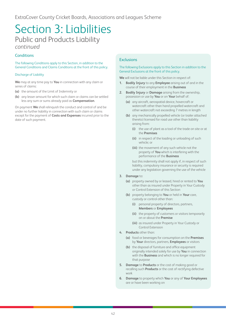#### **Conditions**

The following Conditions apply to this Section, in addition to the General Conditions and Claims Conditions at the front of this policy.

#### Discharge of Liability

**We** may at any time pay to **You** in connection with any claim or series of claims:

- **(a)** the amount of the Limit of Indemnity or
- **(b)** any lesser amount for which such claim or claims can be settled less any sum or sums already paid as **Compensation**.

On payment **We** shall relinquish the conduct and control of and be under no further liability in connection with such claim or claims except for the payment of **Costs and Expenses** incurred prior to the date of such payment.

#### **Exclusions**

#### The following Exclusions apply to this Section in addition to the General Exclusions at the front of this policy.

**We** will not be liable under this Section in respect of:

- **1. Bodily Injury** to any **Employee** arising out of and in the course of their employment in the **Business**
- **2. Bodily Injury** or **Damage** arising from the ownership, possession or use by **You** or on **Your** behalf of:
	- **(a)** any aircraft, aerospatial device, hovercraft or watercraft other than hand propelled watercraft and other watercraft not exceeding 7 metres in length
	- **(b)** any mechanically propelled vehicle (or trailer attached thereto) licensed for road use other than liability arising from:
		- **(i)** the use of plant as a tool of the trade on site or at the **Premises**
		- **(ii)** in respect of the loading or unloading of such vehicle; or
		- **(iii)** the movement of any such vehicle not the property of **You** which is interfering with the performance of the **Business**

but this indemnity shall not apply if, in respect of such liability, compulsory insurance or security is required under any legislation governing the use of the vehicle

- **3. Damage** to:
	- **(a)** property owned by or leased, hired or rented to **You** other than as insured under Property in Your Custody or Control Extension of this Section
	- **(b)** property belonging to **You** or held in **Your** care, custody or control other than:
		- **(i)** personal property of directors, partners, **Members** or **Employees**
		- **(ii)** the property of customers or visitors temporarily on or about the **Premise**
		- **(iii)** as insured under Property in Your Custody or Control Extension
- **4. Products** other than:
	- **(a)** food or beverages for consumption on the **Premises** by **Your** directors, partners, **Employees** or visitors
	- **(b)** the disposal of furniture and office equipment originally intended solely for use by **You** in connection with the **Business** and which is no longer required for that purpose
- **5. Damage** to **Products** or the cost of making good or recalling such **Products** or the cost of rectifying defective work
- **6. Damage** to property which **You** or any of **Your Employees** are or have been working on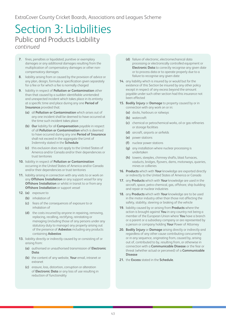- **7.** fines, penalties or liquidated, punitive or exemplary damages or any additional damages resulting from the multiplication of compensatory damages or other noncompensatory damages
- **8.** liability arising from or caused by the provision of advice or any plan, design, formula or specification given separately for a fee or for which a fee is normally charged
- **9.** liability in respect of **Pollution or Contamination** other than that caused by a sudden identifiable unintended and unexpected incident which takes place in its entirety at a specific time and place during any one **Period of Insurance** provided that:
	- **(a)** all **Pollution or Contamination** which arises out of any one incident shall be deemed to have occurred at the time such incident takes place
	- **(b) Our** liability for all **Compensation** payable in respect of all **Pollution or Contamination** which is deemed to have occurred during any one **Period of Insurance** shall not exceed in the aggregate the Limit of Indemnity stated in the **Schedule**
	- **(c)** this exclusion does not apply to the United States of America and/or Canada and/or their dependencies or trust territories
- **10.** liability in respect of **Pollution or Contamination** occurring in the United States of America and/or Canada and/or their dependencies or trust territories
- **11.** liability arising in connection with any visits to or work on any **Offshore Installation** or any support vessel for any **Offshore Installation** or whilst in transit to or from any **Offshore Installation** or support vessel
- **12. (a)** exposure to
	- **(b)** inhalation of
	- **(c)** fears of the consequences of exposure to or inhalation of
	- **(d)** the costs incurred by anyone in repairing, removing, replacing, recalling, rectifying, reinstating or managing (including those of any persons under any statutory duty to manage) any property arising out of the presence of **Asbestos** including any products containing **Asbestos**
- **13.** liability directly or indirectly caused by or consisting of or arising from:
	- **(a)** authorised or unauthorised transmission of **Electronic Data**
	- **(b)** the content of any website, **Your** email, intranet or extranet
	- **(c)** erasure, loss, distortion, corruption or alteration of **Electronic Data** or any loss of use resulting in reduction of functionality
- **(d)** failure of electronic, electromechanical data processing or electronically controlled equipment or **Electronic Data** to correctly recognise any given date or to process data or to operate properly due to a failure to recognise any given date
- **14.** any liability which is insured by or would but for the existence of this Section be insured by any other policy except in respect of any excess beyond the amount payable under such other section had this insurance not been effected
- **15. Bodily Injury** or **Damage** to property caused by or in connection with any work on or in:
	- **(a)** docks, harbours or railways
	- **(b)** watercraft
	- **(c)** chemical or petrochemical works, oil or gas refineries or storage facilities
	- **(d)** aircraft, airports or airfields
	- **(e)** power stations
	- **(f)** nuclear power stations
	- **(g)** any installation where nuclear processing is undertaken
	- **(h)** towers, steeples, chimney shafts, blast furnaces, viaducts, bridges, flyovers, dams, motorways, quarries, mines or collieries
- **16. Products** which with **Your** knowledge are exported directly or indirectly to the United States of America or Canada
- **17.** any **Products** which with **Your** knowledge are used in the aircraft, space, petro-chemical, gas, offshore, ship building and repair or nuclear industries
- **18.** any **Products** which with **Your** knowledge are to be used in the motor industry other than those not affecting the safety, stability, steering or braking of the vehicle
- **19.** liability caused by or arising from **Products** where the action is brought against **You** in any country not being a member of the European Union where **You** have a branch or a parent or a subsidiary company or are represented by a person or company holding **Your** Power of Attorney
- **20. Bodily Injury** or **Damage** arising directly or indirectly and regardless of any other cause contributing concurrently or in any sequence, originating from, caused by, arising out of, contributed to by, resulting from, or otherwise in connection with a **Communicable Disease** or the fear or threat (whether actual or perceived) of a **Communicable Disease**
- **21.** the **Excess** stated in the **Schedule**.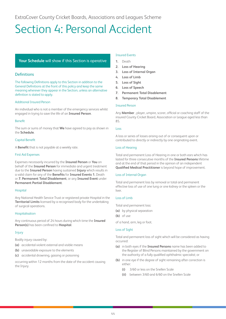# <span id="page-44-0"></span>Section 4: Personal Accident

#### **Your Schedule** will show if this Section is operative

#### **Definitions**

The following Definitions apply to this Section in addition to the General Definitions at the front of this policy and keep the same meaning wherever they appear in the Section, unless an alternative definition is stated to apply.

#### Additional Insured Person

An individual who is not a member of the emergency services whilst engaged in trying to save the life of an **Insured Person**.

#### Benefit

The sum or sums of money that **We** have agreed to pay as shown in the **Schedule**.

#### Capital Benefit

A **Benefit** that is not payable at a weekly rate.

#### First Aid Expenses

Expenses necessarily incurred by the **Insured Person** or **You** on behalf of the **Insured Person** for immediate and urgent treatment due to the **Insured Person** having sustained **Injury** which results in a valid claim for any of the **Benefits** for **Insured Events 1.** Death or **7. Permanent Total Disablement**, or any **Insured Event** under **Permanent Partial Disablement**.

#### Hospital

Any National Health Service Trust or registered private Hospital in the **Territorial Limits** licensed by a recognised body for the undertaking of surgical operations.

#### Hospitalisation

Any continuous period of 24 hours during which time the **Insured Person(s)** has been confined to **Hospital**.

#### Injury

Bodily injury caused by:

- **(a)** accidental violent external and visible means
- **(b)** unavoidable exposure to the elements
- **(c)** accidental drowning, gassing or poisoning

occurring within 12 months from the date of the accident causing the Injury.

#### Insured Events

- **1.** Death
- **2. Loss of Hearing**
- **3. Loss of Internal Organ**
- **4. Loss of Limb**
- **5. Loss of Sight**
- **6. Loss of Speech**
- **7. Permanent Total Disablement**
- **8. Temporary Total Disablement**

#### Insured Person

Any **Member** , player, umpire, scorer, official or coaching staff of the insured County Cricket Board, Association or League aged less than 85.

#### Loss

A loss or series of losses arising out of or consequent upon or contributed to directly or indirectly by one originating event.

#### Loss of Hearing

Total and permanent Loss of Hearing in one or both ears which has lasted for three consecutive months of the **Insured Persons** lifetime and at the end of that period in the opinion of an independent **Qualified Medical Practitioner** is beyond hope of improvement.

#### Loss of Internal Organ

Total and permanent loss by removal or total and permanent effective loss of use of one lung or one kidney or the spleen or the liver.

#### Loss of Limb

- Total and permanent loss:
- **(a)** by physical separation
- **(b)** of use

of a hand, arm, leg or foot.

#### Loss of Sight

Total and permanent loss of sight which will be considered as having occurred:

- **(a)** in both eyes if the **Insured Persons** name has been added to the Register of Blind Persons maintained by the government on the authority of a fully qualified ophthalmic specialist; or
- **(b)** in one eye if the degree of sight remaining after correction is either:
	- **(i)** 3/60 or less on the Snellen Scale
	- **(ii)** between 3/60 and 6/60 on the Snellen Scale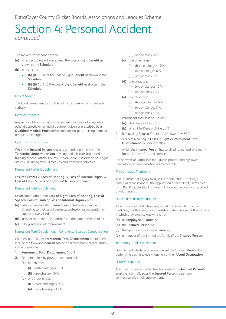ExtraCover County Cricket Boards, Associations and Leagues Scheme

# Section 4: Personal Accident *continued*

The maximum amount payable:

- **(a)** in respect of **(a)** will not exceed the Loss of Sight **Benefit** as shown in the **Schedule**
- **(b)** in respect of:
	- **(b) (i)** 100% of the Loss of Sight **Benefit** as shown in the **Schedule**
	- **(b) (ii)** 10% of the Loss of Sight **Benefit** as shown in the **Schedule**.

#### Loss of Speech

Total and permanent loss of the ability to speak or communicate verbally.

#### Medical Expenses

Any reasonable costs necessarily incurred for medical, surgical or other diagnostic or remedial treatment given or prescribed by a **Qualified Medical Practitioner** and any hospital, nursing home or ambulance charges.

#### Operative Time of Cover

Whilst the **Insured Person** is at any ground or premises in the **Territorial Limits** where **You** have agreed a fixture, organised training or other official County Cricket Board, Association or League activity, including travel directly to and from such activities.

#### Permanent Partial Disablement

**Insured Events 2. Loss of Hearing, 3. Loss of Internal Organ, 4. Loss of Limb, 5. Loss of Sight and 6. Loss of Speech**.

#### Permanent Total Disablement

Disablement other than **Loss of Sight, Loss of Hearing, Loss of Speech, Loss of Limb or Loss of Internal Organ** which:

- **(a)** entirely prevents the **Insured Person** from engaging in or attending to their usual business, profession or occupation of each and every kind
- **(b)** lasts for more than 12 months from the date of the accident
- **(c)** is beyond hope of improvement.

#### Permanent Total Disablement – Continental Scale of Compensation

Compensation under **Permanent Total Disablement** is extended to include the following **Benefit** subject to a maximum total of 100% in the aggregate:

#### **1. Permanent Total Disablement** 100%

- **2.** Permanent loss by physical separation of:
	- **(a)** one thumb:
		- **(i)** both phalanges 30%
		- **(ii)** one phalanx 15%
	- **(b)** one index finger:
		- **(i)** three phalanges 20%
		- **(ii)** two phalanges 13%
- **(iii)** one phalanx 6%
- **(c)** one other finger:
	- **(i)** three phalanges 10%
	- **(ii)** two phalanges 6%
	- **(iii)** one phalanx 3%
- **(d)** one great toe:
	- **(i)** two phalanges 15%
	- **(ii)** one phalanx 7.5%
- **(e)** one other toe:
	- **(i)** three phalanges 5%
	- **(ii)** two phalanges 3%
	- **(iii)** one phalanx 1.5%
- **3.** Permanent total loss of use of:
	- **(a)** Shoulder or Elbow 25%
	- **(b)** Wrist, Hip, Knee or Ankle 20%
- **4.** Removal by Surgical Operation of Lower Jaw 30%
- **5.** Sickness resulting in **Loss Of Sight** or **Permanent Total Disablement** by Paralysis 20%

which the **Insured Person** has survived for at least one month from the date of the occurrence.

In the event of Partial loss for 2 above proportionately lower percentage of compensation will be payable.

#### Physiotherapy Treatment

The treatment of **Injury** by physical manipulation, massage, remedial exercise and/or the application of heat, light, Ultraviolet or Infra Red Rays, Electrical Current or Ultrasound waves by a qualified physiotherapist.

#### Qualified Medical Practitioner

A doctor or specialist who is registered or licensed to practice medicine, ophthalmology, or dentistry under the laws of the country in which they practice and who is not:

- **(a)** an **Employee** of **Yours**; or
- **(b)** the **Insured Person**; or
- **(c)** the Spouse of the **Insured Person**; or
- **(d)** a member of the immediate family of the **Insured Person**.

#### Temporary Total Disablement

Disablement which completely prevent the **Insured Person** from performing each and every function of their **Usual Occupation**.

#### Usual Occupation

The tasks, duties and other functions which the **Insured Person's** employer normally pays the **Insured Person** to perform in connection with their employment.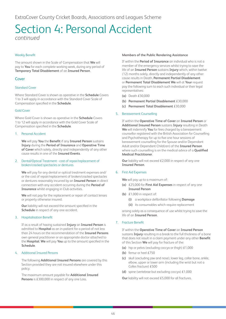#### Weekly Benefit

The amount shown in the Scale of Compensation that **We** will pay to **You** for each complete working week, during any period of **Temporary Total Disablement** of an **Insured Person**.

#### Cover

#### Standard Cover

Where Standard Cover is shown as operative in the **Schedule** Covers 1 to 3 will apply in accordance with the Standard Cover Scale of Compensation specified in the **Schedule**.

#### Gold Cover

Where Gold Cover is shown as operative in the **Schedule** Covers 1 to 12 will apply in accordance with the Gold Cover Scale of Compensation specified in the **Schedule**.

#### 1. Personal Accident

**We** will pay **You** the **Benefit** if any **Insured Person** sustains **Injury** during the **Period of Insurance** and **Operative Time of Cover** which solely, directly and independently of any other cause results in one of the **Insured Events**.

#### 2. Dental/Optical Treatment - cost of repair/replacement of broken/cracked spectacles or dentures

**We** will pay for any dental or optical treatment expenses and/ or the cost of repair/replacement of broken/cracked spectacles or dentures reasonably incurred by an **Insured Person** in direct connection with any accident occurring during the **Period of Insurance** whilst engaging in Club activities.

**We** will not pay for the replacement or repair of contact lenses or property otherwise insured.

**Our** liability will not exceed the amount specified in the **Schedule** in respect of any one accident.

#### 3. Hospitalisation Benefit

If as a result of having sustained **Injury** an **Insured Person** is admitted to **Hospital** as an in-patient for a period of not less than 24 hours on the recommendation of the **Insured Persons** own general practitioner or an appropriate doctor attached to the **Hospital**, **We** will pay **You** up to the amount specified in the **Schedule**.

#### 4. Additional Insured Persons

The following **Additional Insured Persons** are covered by this Section provided they are not insured elsewhere under this policy.

The maximum amount payable for **Additional Insured Persons** is £300,000 in respect of any one Loss.

#### **Members of the Public Rendering Assistance**

If within the **Period of Insurance** an individual who is not a member of the emergency services whilst trying to save the life of an **Insured Person** sustains **Injury** which, within twelve (12) months solely, directly and independently of any other cause results in Death, **Permanent Partial Disablement** or **Permanent Total Disablement We** will at **Your** request pay the following sum to each such individual or their legal representatives:

- **(a)** Death £30,000
- **(b) Permanent Partial Disablement** £30,000
- **(c) Permanent Total Disablement** £30,000

#### 5. Bereavement Counselling

If within the **Operative Time of Cover** an **Insured Person** or **Additional Insured Person** sustains **Injury** resulting in Death **We** will indemnify **You** for fees charged by a bereavement counsellor registered with the British Association for Counselling and Psychotherapy for up to five one hour sessions of bereavement counselling for the Spouse and/or Dependant Adult and/or Dependant Child(ren) of the **Insured Person** where such counselling is on the medical advice of a **Qualified Medical Practitioner**.

**Our** liability will not exceed £2,000 in respect of any one **Insured Person**.

#### 6. First Aid Expenses

**We** will pay up to a maximum of:

- **(a)** £25,000 for **First Aid Expenses** in respect of any one **Insured Person**
- **(b)** £1,000 in respect of:
	- **(i)** a workplace defibrillator following **Damage**
	- **(ii)** its consumables which require replacement

arising solely as a consequence of use whilst trying to save the life of an **Insured Person**.

#### 7. Fracture Benefit

If within the **Operative Time of Cover** an **Insured Person**  sustains **Injury** resulting in a break to the full thickness of a bone that does not result in a claim payment under any other **Benefit**  of this Section **We** will pay for fracture of the:

- **(a)** hip or pelvis (excluding coccyx or thigh) £1,000
- **(b)** femur or heel £750
- **(c)** skull (excluding jaw and nose), lower leg, collar bone, ankle, elbow, upper or lower arm (including the wrist but not a Colles fracture) £500
- **(d)** spine (vertebrae but excluding coccyx) £1,000
- **Our** liability will not exceed £5,000 for all fractures.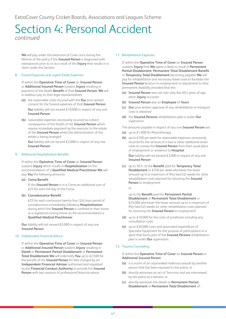**We** will pay under this extension of Cover once during the lifetime of the policy if the **Insured Person** is diagnosed with osteoporosis prior to or as a result of the **Injury** that results in a claim under this Section.

#### 8. Funeral Expenses and urgent Estate Expenses

If within the **Operative Time of Cover** an **Insured Person** or **Additional Insured Person** sustains **Injury** resulting in payment of the Death **Benefit** of that **Insured Person**, **We** will in addition pay to their legal representatives:

- **(a)** the reasonable costs incurred with the **Our** prior written consent for the funeral expenses of that **Insured Person Our** liability will not exceed £10,000 in respect of any one **Insured Person**.
- **(b)** reasonable expenses necessarily incurred as a direct consequence of the Death of the **Insured Person** which require immediate payment by the executor to the estate of the **Insured Person** whilst the administration of the estate is being arranged.

**Our** liability will not exceed £2,000 in respect of any one **Insured Person**.

#### 9. Additional Hospitalisation Benefits

If within the **Operative Time of Cover** an **Insured Person** sustains **Injury** which results in **Hospitalisation** on the recommendation of a **Qualified Medical Practitioner We** will pay **You** the following amounts:

**(a) Coma Benefit**

If the **Insured Person** is in a Coma an additional sum of £25 for each full day of the Coma.

#### **(b) Convalescence Benefit**

£25 for each continuous twenty four (24) hour period of convalescence immediately following **Hospitalisation** during which the **Insured Person** is confined to their home or a registered nursing home on the recommendation a **Qualified Medical Practitioner**.

**Our** liability will not exceed £5,000 in respect of any one **Insured Person**.

#### 10. Independent Financial Advice

If within the **Operative Time of Cover** an **Insured Person** or **Additional Insured Person** sustains **Injury** resulting in **Death** or **Permanent Partial Disablement** or **Permanent Total Disablement We** will indemnify **You** up to £2,500 for the benefit of the **Insured Person** for fees charged by an **Independent Financial Adviser** authorised and regulated by the **Financial Conduct Authority** to provide the **Insured Person** with two sessions of professional financial advice.

#### 11. Rehabilitation Expenses

If within the **Operative Time of Cover** an **Insured Person** sustains **Injury** that **We** agree is likely to result in **Permanent Partial Disablement**, **Permanent Total Disablement Benefit** or **Temporary Total Disablement** becoming payable **We** will pay for rehabilitation and necessary travel costs to facilitate the **Insured Person's** return to employment or adjustment to their permanent disability provided that the:

- **(a) Insured Person** was not over sixty five (65) years of age when **Injury** occurred
- **(b) Insured Person** was an **Employee** of **Yours**
- **(c) Our** prior written approval of any rehabilitation or transport costs is obtained
- **(d)** the **Insured Persons** rehabilitation plan is under **Our** supervision

The amounts payable in respect of any one **Insured Person** are:

- **(a)** up to £1,000 for Physiotherapy
- **(b)** up to £100 per week for reasonable expenses necessarily incurred for the services of a taxi or other additional travel costs to convey the **Insured Person** from their usual place of employment or residence to **Hospital**.

**Our** liability will not exceed £3,000 in respect of any one **Insured Person**

**(c)** up to 50% of the **Benefit** paid for **Temporary Total Disablement** or £250 per week whichever the lesser amount up to a maximum of fifty two(52) weeks for other rehabilitation costs planned for returning the **Insured Person** to employment

or

up to the **Benefit** paid for **Permanent Partial Disablement** or **Permanent Total Disablement** or £25,000 whichever the lesser amount up to a maximum of fifty two(52) weeks for other rehabilitation costs planned for returning the **Insured Person** to employment

- **(d)** up to £10,000 for the costs of prosthesis including any consultation costs
- **(e)** up to £20,000 costs and associated expenditure of Specialist Equipment for the purpose of participation in a sport that forms part of the **Insured Persons** rehabilitation plan is under **Our** supervision.

#### 12. Trauma Counselling

#### If within the **Operative Time of Cover** an **Insured Person** or **Additional Insured Person**:

- **(a)** is a victim of an unprovoked malicious assault by another person that has been reported to the police; or
- **(b)** directly witnesses an act of Terrorism and are interviewed by the police as a witness; or
- **(c)** directly witnesses the Death or **Permanent Partial Disablement** or **Permanent Total Disablement** of: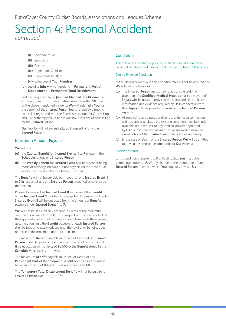- **(i)** their parent; or
- **(ii)** Spouse; or
- **(iii)** Child; or
- **(iv)** Dependant Child; or
- **(v)** Dependant Adult; or
- **(vi)** colleague at **Your Premises**
- **(d)** sustains **Injury** which resulting in **Permanent Partial Disablement** or **Permanent Total Disablement**

and are diagnosed by a **Qualified Medical Practitioner** as suffering from post-traumatic stress disorder within 90 days of the above mentioned incidents **We** will indemnify **You** for the benefit of the **Insured Person** fees charged by a trauma counsellor registered with the British Association for Counselling and Psychotherapy for up to five one hour sessions of counselling for the **Insured Person**.

**Our** liability will not exceed £2,500 in respect of any one **Insured Person**.

#### Maximum Amount Payable

**We** will pay:

- **(a)** the **Capital Benefit** for **Insured Events 1** to **7** shown in the **Schedule** for any one **Insured Person**
- **(b)** the **Weekly Benefit** for **Insured Event 8**, with payment being made at 4 weekly intervals but not payable for more than 104 weeks from the date the disablement started.

The **Benefit** will not be payable for more than one **Insured Event 1** to **7** in respect of any one **Insured Person** identified as covered by this Section.

Payment in respect of **Insured Event 8** will cease if the **Benefit** under **Insured Event 1** to **7** becomes payable. Any sums paid under **Insured Event 8** will be deducted from the amount of **Benefit** payable under **Insured Event 1** to **7**.

**We** will not be liable for any amount in excess of the maximum accumulation limit of £1,000,000 in respect of any one accident. If the aggregate amount of all benefits payable exceeds the maximum accumulation limit, the **Benefit** payable for each **Insured Person** shall be proportionately reduced until the total of all benefits does not exceed the maximum accumulation limit.

The maximum **Benefit** payable in respect of Death of an **Insured Person** under 16 years of age or under 18 years of age and in fulltime education will not exceed £2,500 or the **Benefit** stated in the **Schedule** whichever is the lower.

The maximum **Benefit** payable in respect of Death or any **Permanent Partial Disablement Benefit** for an **Insured Person** between the ages of 80 and 85 will not exceed £5,000.

The **Temporary Total Disablement Benefit** will not be paid for an **Insured Person** over the age of 80.

#### **Conditions**

The following Conditions apply to this Section in addition to the General Conditions and Claims Conditions at the front of this policy.

#### Claims Evidence Condition

If **You** do not comply with this Condition **You** will not be covered and **We** will not pay **Your** claim.

- **(a)** The **Insured Person** must as early as possible seek the attention of a **Qualified Medical Practitioner** in the event of **Injury** which causes or may cause a claim and all certificates, information and evidence required by **Us** in connection with that **Injury** is to be provided at **Your** or the **Insured Persons** expense
- **(b)** All medical records, notes and correspondence in connection with a claim or a related pre-existing condition must be made available upon request to any medical adviser appointed by **Us** and that medical adviser is to be allowed to make an examination of the **Insured Person** as often as necessary
- **(c)** In the case of Death of the **Insured Person We** will be entitled to have a post mortem examination at **Our** expense.

#### Alteration in Risk

It is a condition precedent to **Our** liability that **You** must give immediate notice to **Us** of any change to the occupation of any **Insured Person** from that which **You** originally advised **Us**.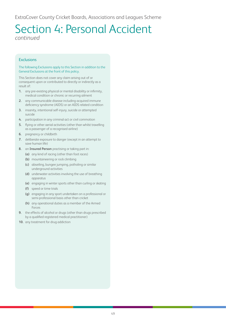#### **Exclusions**

#### The following Exclusions apply to this Section in addition to the General Exclusions at the front of this policy.

This Section does not cover any claim arising out of or consequent upon or contributed to directly or indirectly as a result of:

- **1.** any pre-existing physical or mental disability or infirmity, medical condition or chronic or recurring ailment
- **2.** any communicable disease including acquired immune deficiency syndrome (AIDS) or an AIDS related condition
- **3.** insanity, intentional self-injury, suicide or attempted suicide
- **4.** participation in any criminal act or civil commotion
- **5.** flying or other aerial activities (other than whilst travelling as a passenger of a recognised airline)
- **6.** pregnancy or childbirth
- **7.** deliberate exposure to danger (except in an attempt to save human life)
- **8.** an **Insured Person** practising or taking part in:
	- **(a)** any kind of racing (other than foot races)
	- **(b)** mountaineering or rock climbing
	- **(c)** abseiling, bungee jumping, potholing or similar underground activities
	- **(d)** underwater activities involving the use of breathing apparatus
	- **(e)** engaging in winter sports other than curling or skating
	- **(f)** speed or time trials
	- **(g)** engaging in any sport undertaken on a professional or semi-professional basis other than cricket
	- **(h)** any operational duties as a member of the Armed Forces
- **9.** the effects of alcohol or drugs (other than drugs prescribed by a qualified registered medical practitioner)
- **10.** any treatment for drug addiction